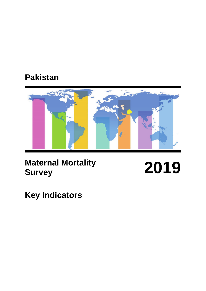# **Pakistan**



# **Maternal Mortality Survey 2019**

**Key Indicators**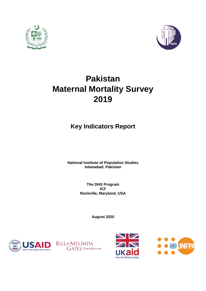



# **Pakistan Maternal Mortality Survey 2019**

# **Key Indicators Report**

**National Institute of Population Studies Islamabad, Pakistan** 

> **The DHS Program ICF Rockville, Maryland, USA**

> > **August 2020**







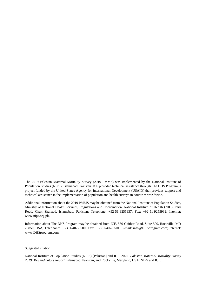The 2019 Pakistan Maternal Mortality Survey (2019 PMMS) was implemented by the National Institute of Population Studies (NIPS), Islamabad, Pakistan. ICF provided technical assistance through The DHS Program, a project funded by the United States Agency for International Development (USAID) that provides support and technical assistance in the implementation of population and health surveys in countries worldwide.

Additional information about the 2019 PMMS may be obtained from the National Institute of Population Studies, Ministry of National Health Services, Regulations and Coordination, National Institute of Health (NIH), Park Road, Chak Shahzad, Islamabad, Pakistan; Telephone: +92-51-9255937; Fax: +92-51-9255932; Internet: www.nips.org.pk.

Information about The DHS Program may be obtained from ICF, 530 Gaither Road, Suite 500, Rockville, MD 20850, USA; Telephone: +1-301-407-6500; Fax: +1-301-407-6501; E-mail: info@DHSprogram.com; Internet: www.DHSprogram.com.

#### Suggested citation:

National Institute of Population Studies (NIPS) [Pakistan] and ICF. 2020. *Pakistan Maternal Mortality Survey 2019: Key Indicators Report*. Islamabad, Pakistan, and Rockville, Maryland, USA: NIPS and ICF.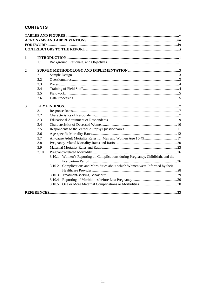# **CONTENTS**

| 1            |      |                                                                                    |  |
|--------------|------|------------------------------------------------------------------------------------|--|
|              | 1.1  |                                                                                    |  |
| $\mathbf{2}$ |      |                                                                                    |  |
|              | 2.1  |                                                                                    |  |
|              | 2.2  |                                                                                    |  |
|              | 2.3  |                                                                                    |  |
|              | 2.4  |                                                                                    |  |
|              | 2.5  |                                                                                    |  |
|              | 2.6  |                                                                                    |  |
| 3            |      |                                                                                    |  |
|              | 3.1  |                                                                                    |  |
|              | 3.2  |                                                                                    |  |
|              | 3.3  |                                                                                    |  |
|              | 3.4  |                                                                                    |  |
|              | 3.5  |                                                                                    |  |
|              | 3.6  |                                                                                    |  |
|              | 3.7  | All-cause Adult Mortality Rates for Men and Women Age 15-49 17                     |  |
|              | 3.8  |                                                                                    |  |
|              | 3.9  |                                                                                    |  |
|              | 3.10 |                                                                                    |  |
|              |      | 3.10.1<br>Women's Reporting on Complications during Pregnancy, Childbirth, and the |  |
|              |      |                                                                                    |  |
|              |      | Complications and Morbidities about which Women were Informed by their<br>3.10.2   |  |
|              |      |                                                                                    |  |
|              |      | 3.10.3                                                                             |  |
|              |      | 3.10.4                                                                             |  |
|              |      | 3.10.5                                                                             |  |
|              |      |                                                                                    |  |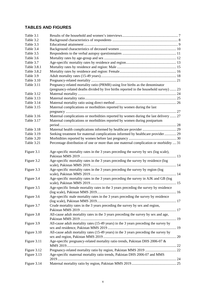# **TABLES AND FIGURES**

| Table 3.1   |                                                                                        |  |
|-------------|----------------------------------------------------------------------------------------|--|
| Table 3.2   |                                                                                        |  |
| Table 3.3   |                                                                                        |  |
| Table 3.4   |                                                                                        |  |
| Table 3.5   |                                                                                        |  |
| Table 3.6   |                                                                                        |  |
| Table 3.7   |                                                                                        |  |
| Table 3.8.1 |                                                                                        |  |
| Table 3.8.2 |                                                                                        |  |
| Table 3.9   |                                                                                        |  |
| Table 3.10  |                                                                                        |  |
| Table 3.11  | Pregnancy-related mortality ratio (PRMR) using live births as the denominator          |  |
|             | (pregnancy-related deaths divided by live births reported in the household survey)  23 |  |
| Table 3.12  |                                                                                        |  |
| Table 3.13  |                                                                                        |  |
| Table 3.14  |                                                                                        |  |
| Table 3.15  | Maternal complications or morbidities reported by women during the last                |  |
|             |                                                                                        |  |
| Table 3.16  | Maternal complications or morbidities reported by women during the last delivery  27   |  |
| Table 3.17  | Maternal complications or morbidities reported by women during postpartum              |  |
|             |                                                                                        |  |
| Table 3.18  |                                                                                        |  |
| Table 3.19  | Seeking treatment for maternal complications informed by healthcare provider 29        |  |
| Table 3.20  |                                                                                        |  |
| Table 3.21  | Percentage distribution of one or more than one maternal complication or morbidity  31 |  |
|             |                                                                                        |  |
| Figure 3.1  | Age-specific mortality rates in the 3 years preceding the survey by sex (log scale),   |  |
| Figure 3.2  | Age-specific mortality rates in the 3 years preceding the survey by residence (log     |  |
|             |                                                                                        |  |
| Figure 3.3  | Age-specific mortality rates in the 3 years preceding the survey by region (log        |  |
|             |                                                                                        |  |
| Figure 3.4  | Age-specific mortality rates in the 3 years preceding the survey in AJK and GB (log    |  |
|             |                                                                                        |  |
| Figure 3.5  | Age-specific female mortality rates in the 3 years preceding the survey by residence   |  |
|             |                                                                                        |  |
| Figure 3.6  | Age-specific male mortality rates in the 3 years preceding the survey by residence     |  |
|             |                                                                                        |  |
| Figure 3.7  | Crude mortality rates in the 3 years preceding the survey by sex and region,           |  |
|             |                                                                                        |  |
| Figure 3.8  | All-cause adult mortality rates in the 3 years preceding the survey by sex and age,    |  |
|             |                                                                                        |  |
| Figure 3.9  | All-cause adult mortality rates (15-49 years) in the 3 years preceding the survey by   |  |
|             |                                                                                        |  |
| Figure 3.10 | All-cause adult mortality rates (15-49 years) in the 3 years preceding the survey by   |  |
|             |                                                                                        |  |
| Figure 3.11 | Age-specific pregnancy-related mortality ratio trends, Pakistan DHS 2006-07 $\&$       |  |
|             |                                                                                        |  |
| Figure 3.12 |                                                                                        |  |
| Figure 3.13 | Age-specific maternal mortality ratio trends, Pakistan DHS 2006-07 and MMS             |  |
|             |                                                                                        |  |
| Figure 3.14 |                                                                                        |  |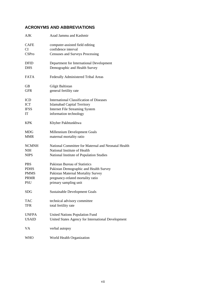# **ACRONYMS AND ABBREVIATIONS**

| <b>AJK</b>   | Azad Jammu and Kashmir                              |
|--------------|-----------------------------------------------------|
| <b>CAFE</b>  | computer-assisted field editing                     |
| CI           | confidence interval                                 |
| <b>CSPro</b> | Censuses and Surveys Processing                     |
| <b>DFID</b>  | Department for International Development            |
| <b>DHS</b>   | Demographic and Health Survey                       |
| <b>FATA</b>  | Federally Administered Tribal Areas                 |
| GВ           | Gilgit Baltistan                                    |
| <b>GFR</b>   | general fertility rate                              |
| ICD          | International Classification of Diseases            |
| <b>ICT</b>   | <b>Islamabad Capital Territory</b>                  |
| <b>IFSS</b>  | <b>Internet File Streaming System</b>               |
| IT           | information technology                              |
| <b>KPK</b>   | Khyber Pakhtunkhwa                                  |
| MDG          | Millennium Development Goals                        |
| <b>MMR</b>   | maternal mortality ratio                            |
| <b>NCMNH</b> | National Committee for Maternal and Neonatal Health |
| NIH          | National Institute of Health                        |
| <b>NIPS</b>  | National Institute of Population Studies            |
| <b>PBS</b>   | Pakistan Bureau of Statistics                       |
| <b>PDHS</b>  | Pakistan Demographic and Health Survey              |
| <b>PMMS</b>  | Pakistan Maternal Mortality Survey                  |
| <b>PRMR</b>  | pregnancy-related mortality ratio                   |
| PSU          | primary sampling unit                               |
| <b>SDG</b>   | <b>Sustainable Development Goals</b>                |
| <b>TAC</b>   | technical advisory committee                        |
| <b>TFR</b>   | total fertility rate                                |
| <b>UNFPA</b> | <b>United Nations Population Fund</b>               |
| <b>USAID</b> | United States Agency for International Development  |
| VA           | verbal autopsy                                      |
| WHO          | World Health Organization                           |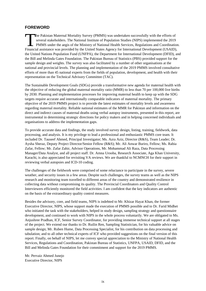# **FOREWORD**

he Pakistan Maternal Mortality Survey (PMMS) was undertaken successfully with the efforts of several stakeholders. The National Institute of Population Studies (NIPS) implemented the 2019 PMMS under the aegis of the Ministry of National Health Services, Regulations and Coordination. The Pakistan Maternal Mortality Survey (PMMS) was undertaken successfully with the efforts of several stakeholders. The National Institute of Population Studies (NIPS) implemented the 2019 PMMS under the aegis of the Minis the United Nations Population Fund (UNFPA), the Department for International Development (DFID), and the Bill and Melinda Gates Foundation. The Pakistan Bureau of Statistics (PBS) provided support for the sample design and weights. The survey was also facilitated by a number of other organisations at the national and provincial levels. The planning and implementation of the 2019 PMMS involved consultative efforts of more than 45 national experts from the fields of population, development, and health with their representation on the Technical Advisory Committee (TAC).

The Sustainable Development Goals (SDGs) provide a transformative new agenda for maternal health with the objective of reducing the global maternal mortality ratio (MMR) to less than 70 per 100,000 live births by 2030. Planning and implementation processes for improving maternal health to keep up with the SDG targets require accurate and internationally comparable indicators of maternal mortality. The primary objective of the 2019 PMMS project is to provide the latest estimates of mortality levels and awareness regarding maternal mortality. Reliable national estimates of the MMR for Pakistan and information on the direct and indirect causes of maternal deaths using verbal autopsy instruments, presented in this report, are instrumental in determining strategic directions for policy makers and in helping concerned individuals and organisations to address the implementation gaps.

To provide accurate data and findings, the study involved survey design, listing, training, fieldwork, data processing, and analysis. It is my privilege to lead a professional and enthusiastic PMMS core team. It included Dr. Tauseef Ahmed, Principal Investigator; Ms. Azra Aziz, Director (R&S), Team Leader; Dr. Aysha Sheraz, Deputy Project Director/Senior Fellow (R&S); Mr. Ali Anwar Buriro, Fellow; Ms. Rabia Zafar, Fellow; Mr. Zafar Zahir, Advisor Operations, Mr. Mohammad Ali Raza, Data Processing Manager/Data Analyst, and all project staff. Dr. Amna Urooba, Research Associate, Aga Khan University, Karachi, is also appreciated for revisiting VA reviews. We are thankful to NCMNCH for their support in reviewing verbal autopsies and ICD-10 coding.

The challenges of the fieldwork were comprised of some reluctance to participate in the survey, severe weather, and security issues in a few areas. Despite such challenges, the survey teams as well as the NIPS research and monitoring team travelled to different areas of the country and demonstrated resilience in collecting data without compromising its quality. The Provincial Coordinators and Quality Control Interviewers efficiently monitored the field activities. I am confident that the key indicators are authentic on the basis of the extraordinary quality control measures.

Besides the advisory, core, and field teams, NIPS is indebted to Mr. Khizar Hayat Khan, the former Executive Director, NIPS, whose support made the execution of PMMS possible and to Dr. Farid Midhet who initiated the task with the stakeholders, helped in study design, sampling strategy and questionnaire development, and continued to work with NIPS in the whole process voluntarily. We are obligated to Ms. Anjushree Pradhan, ICF, Senior Survey Coordinator, for providing immense technical support at all stages of the project. We extend our thanks to Dr. Ruilin Ren, Sampling Statistician, for his valuable advice on sample design; Mr. Ruben Hume, Data Processing Specialist, for his contribution on data processing and tabulation; and to all other technical experts of ICF who provided suggestions on the final version of this report. Finally, on behalf of NIPS, let me convey special appreciation to the Ministry of National Health Services, Regulations and Coordination, Pakistan Bureau of Statistics, UNFPA, USAID, DFID, and the Bill and Melinda Gates Foundation for their commitment and support for the 2019 PMMS.

Mr. Pervaiz Ahmed Junejo Executive Director, NIPS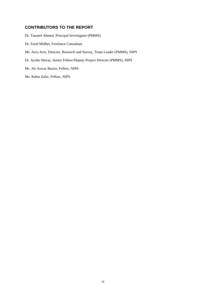# **CONTRIBUTORS TO THE REPORT**

Dr. Tauseef Ahmed, Principal Investigator (PMMS)

- Dr. Farid Midhet, Freelance Consultant
- Ms. Azra Aziz, Director, Research and Survey, Team Leader (PMMS), NIPS
- Dr. Aysha Sheraz, Senior Fellow/Deputy Project Director (PMMS), NIPS
- Mr. Ali Anwar Buriro, Fellow, NIPS

Ms. Rabia Zafar, Fellow, NIPS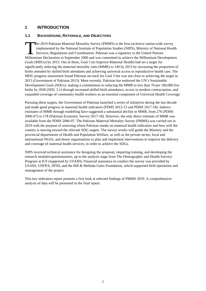# **1 INTRODUCTION**

# **1.1 BACKGROUND, RATIONALE, AND OBJECTIVES**

he 2019 Pakistan Maternal Mortality Survey (PMMS) is the first exclusive nation-wide survey implemented by the National Institute of Population Studies (NIPS), Ministry of National Health Services, Regulations and Coordination. Pakistan was a signatory to the United Nations The 2019 Pakistan Maternal Mortality Survey (PMMS) is the first exclusive nation-wide survey<br>implemented by the National Institute of Population Studies (NIPS), Ministry of National Health<br>Services, Regulations and Coordin Goals (MDGs) by 2015. Out of these, Goal 5 (to Improve Maternal Health) had set a target for significantly reducing the maternal mortality ratio (MMR) to 140 by 2015 by increasing the proportion of births attended by skilled birth attendants and achieving universal access to reproductive health care. The MDG progress assessment found Pakistan on track for Goal 5 but was not close to achieving the target in 2015 (Government of Pakistan 2013). More recently, Pakistan has endorsed the UN's Sustainable Development Goals (SDGs), making a commitment to reducing the MMR to less than 70 per 100,000 live births by 2030 (SDG 3.1) through increased skilled birth attendance, access to modern contraception, and expanded coverage of community health workers as an essential component of Universal Health Coverage.

Pursuing these targets, the Government of Pakistan launched a series of initiatives during the last decade and made good progress in maternal health indicators (PDHS 2012-13 and PDHS 2017-18). Indirect estimates of MMR through modelling have suggested a substantial decline in MMR, from 276 (PDHS 2006-07) to 178 (Pakistan Economic Survey 2017-18). However, the only direct estimate of MMR was available from the PDHS 2006-07. The Pakistan Maternal Mortality Survey (PMMS) was carried out in 2019 with the purpose of assessing where Pakistan stands on maternal health indicators and how well the country is moving toward the relevant SDG targets. The survey results will guide the Ministry and the provincial departments of Health and Population Welfare, as well as the private sector, local and international NGOs, and donor organisations to plan and implement interventions to improve the delivery and coverage of maternal health services, in order to achieve the SDGs.

NIPS received technical assistance for designing the proposal, imparting training, and developing the research modules/questionnaires, up to the analysis stage from The Demographic and Health Surveys Program at ICF (supported by USAID). Financial assistance to conduct the survey was provided by USAID, UNFPA, DFID, and the Bill & Melinda Gates Foundation, which supported field operations and management of the project.

This key indicators report presents a first look at selected findings of PMMS 2019. A comprehensive analysis of data will be presented in the final report.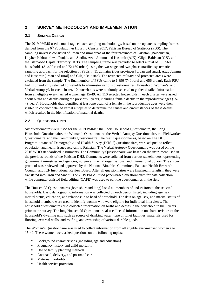# **2 SURVEY METHODOLOGY AND IMPLEMENTATION**

# **2.1 SAMPLE DESIGN**

The 2019 PMMS used a multistage cluster sampling methodology, based on the updated sampling frames derived from the  $6<sup>th</sup>$  Population & Housing Census 2017, Pakistan Bureau of Statistics (PBS). The sampling universe consisted of urban and rural areas of the four provinces of Pakistan (Balochistan, Khyber Pakhtunkhwa, Punjab, and Sindh), Azad Jammu and Kashmir (AJK), Gilgit-Baltistan (GB), and the Islamabad Capital Territory (ICT). The sampling frame was provided to select a total of 153,560 households (81,400 rural and 72,160 urban) using the two-stage and two-phase stratified systematic sampling approach for the selection of PSUs in 11 domains (four provinces [urban and rural], Azad Jammu and Kashmir [urban and rural] and Gilgit Baltistan). The restricted military and protected areas were excluded from the sample. The final number of PSUs came to 1,396 (740 rural and 656 urban). Each PSU had 110 randomly selected households to administer various questionnaires (Household, Woman's, and Verbal Autopsy). In each cluster, 10 households were randomly selected to gather detailed information from all eligible ever-married women age 15-49. All 110 selected households in each cluster were asked about births and deaths during the previous 3 years, including female deaths in the reproductive ages (15- 49 years). Households that identified at least one death of a female in the reproductive ages were then visited to conduct detailed verbal autopsies to determine the causes and circumstances of these deaths, which resulted in the identification of maternal deaths.

# **2.2 QUESTIONNAIRES**

Six questionnaires were used for the 2019 PMMS: the Short Household Questionnaire, the Long Household Questionnaire, the Woman's Questionnaire, the Verbal Autopsy Questionnaire, the Fieldworker Questionnaire, and the Community Questionnaire. The first 3 questionnaires, based on The DHS Program's standard Demographic and Health Survey (DHS-7) questionnaires, were adapted to reflect population and health issues relevant to Pakistan. The Verbal Autopsy Questionnaire was based on the 2016 WHO standardised instruments. The Community Questionnaire was based on the instrument used in the previous rounds of the Pakistan DHS. Comments were solicited from various stakeholders representing government ministries and agencies, nongovernmental organisations, and international donors. The survey protocol was reviewed and approved by the National Bioethics Committee, Pakistan Health Research Council, and ICF Institutional Review Board. After all questionnaires were finalised in English, they were translated into Urdu and Sindhi. The 2019 PMMS used paper-based questionnaires for data collection, while computer-assisted field editing (CAFE) was used to edit the questionnaires in the field.

The Household Questionnaires (both short and long) listed all members of and visitors to the selected households. Basic demographic information was collected on each person listed, including age, sex, marital status, education, and relationship to head of household. The data on age, sex, and marital status of household members were used to identify women who were eligible for individual interviews. The household questionnaires also collected information on births and deaths in the household in the 3 years prior to the survey. The long Household Questionnaire also collected information on characteristics of the household's dwelling unit, such as source of drinking water; type of toilet facilities; materials used for flooring, external walls, and roofing; and ownership of various durable goods.

The Woman's Questionnaire was used to collect information from all eligible ever-married women age 15-49. These women were asked questions on the following topics:

- Background characteristics (including age and education)
- **Pregnancy history and child mortality**
- Use of family planning methods
- Antenatal, delivery, and postnatal care
- Maternal morbidity
- Health service provision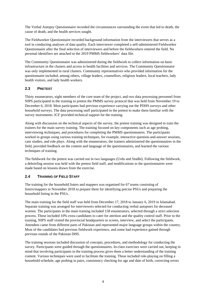The Verbal Autopsy Questionnaire recorded the circumstances surrounding the event that led to death, the cause of death, and the health services sought.

The Fieldworker Questionnaire recorded background information from the interviewers that serves as a tool in conducting analyses of data quality. Each interviewer completed a self-administered Fieldworker Questionnaire after the final selection of interviewers and before the fieldworkers entered the field. No personal identifiers are attached to the 2019 PMMS fieldworkers' data file.

The Community Questionnaire was administered during the fieldwork to collect information on basic infrastructure in the clusters and access to health facilities and services. The Community Questionnaire was only implemented in rural clusters. Community representatives who provided information for the questionnaire included, among others, village leaders, counsellors, religious leaders, local teachers, lady health visitors, and lady health workers.

# **2.3 PRETEST**

Thirty enumerators, eight members of the core team of the project, and two data processing personnel from NIPS participated in the training to pretest the PMMS survey protocol that was held from November 19 to December 6, 2018. Most participants had previous experience carrying out the PDHS surveys and other household surveys. The data processing staff participated in the pretest to make them familiar with the survey instruments. ICF provided technical support for the training.

Along with discussion on the technical aspects of the survey, the pretest training was designed to train the trainers for the main survey training. The training focused on key components such as age probing, interviewing techniques, and procedures for completing the PMMS questionnaires. The participants worked in groups using various training techniques, for example, interactive question-and-answer sessions, case studies, and role plays. Along with the enumerators, the trainers administered the questionnaires in the field, provided feedback on the content and language of the questionnaires, and learned the various techniques of training.

The fieldwork for the pretest was carried out in two languages (Urdu and Sindhi). Following the fieldwork, a debriefing session was held with the pretest field staff, and modifications to the questionnaires were made based on lessons drawn from the exercise.

# **2.4 TRAINING OF FIELD STAFF**

The training for the household listers and mappers was organised for 67 teams consisting of listers/mappers in November 2018 to prepare them for identifying precise PSUs and preparing the household listing in the PSUs.

The main training for the field staff was held from December 17, 2018 to January 6, 2019 in Islamabad. Separate training was arranged for interviewers selected for conducting verbal autopsies for deceased women. The participants in the main training included 158 enumerators, selected through a strict selection process. These included 10% extra candidates to cater for attrition and the quality control staff. Prior to the training, NIPS staff visited the provincial headquarters to screen, interview, and select the participants. Attendees came from different parts of Pakistan and represented major language groups within the country. Most of the candidates had previous fieldwork experience, and some had experience gained through previous rounds of the Pakistan DHS.

The training sessions included discussion of concepts, procedures, and methodology for conducting the survey. Participants were guided through the questionnaires. In-class exercises were carried out, keeping in mind that involving participants in the training process gives them a better understanding of the training content. Various techniques were used to facilitate the training. These included role-playing on filling a household schedule, age probing in pairs, consistency checking for age and date of birth, correcting errors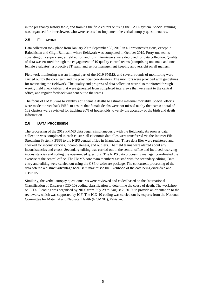in the pregnancy history table, and training the field editors on using the CAFE system. Special training was organised for interviewers who were selected to implement the verbal autopsy questionnaires.

# **2.5 FIELDWORK**

Data collection took place from January 20 to September 30, 2019 in all provinces/regions, except in Balochistan and Gilgit Baltistan, where fieldwork was completed in October 2019. Forty-one teams consisting of a supervisor, a field editor, and four interviewers were deployed for data collection. Quality of data was ensured through the engagement of 10 quality control teams (comprising one male and one female evaluator), a proactive IT team, and senior management keeping an oversight on all matters.

Fieldwork monitoring was an integral part of the 2019 PMMS, and several rounds of monitoring were carried out by the core team and the provincial coordinators. The monitors were provided with guidelines for overseeing the fieldwork. The quality and progress of data collection were also monitored through weekly field check tables that were generated from completed interviews that were sent to the central office, and regular feedback was sent out to the teams.

The focus of PMMS was to identify adult female deaths to estimate maternal mortality. Special efforts were made to trace back PSUs to ensure that female deaths were not missed out by the teams; a total of 182 clusters were revisited for tracking 20% of households to verify the accuracy of the birth and death information.

# **2.6 DATA PROCESSING**

The processing of the 2019 PMMS data began simultaneously with the fieldwork. As soon as data collection was completed in each cluster, all electronic data files were transferred via the Internet File Streaming System (IFSS) to the NIPS central office in Islamabad. These data files were registered and checked for inconsistencies, incompleteness, and outliers. The field teams were alerted about any inconsistencies and errors. Secondary editing was carried out in the central office and involved resolving inconsistencies and coding the open-ended questions. The NIPS data processing manager coordinated the exercise at the central office. The PMMS core team members assisted with the secondary editing. Data entry and editing were carried out using the CSPro software package. The concurrent processing of the data offered a distinct advantage because it maximised the likelihood of the data being error-free and accurate.

Similarly, the verbal autopsy questionnaires were reviewed and coded based on the International Classification of Diseases (ICD-10) coding classification to determine the cause of death. The workshop on ICD-10 coding was organised by NIPS from July 29 to August 2, 2019, to provide an orientation to the reviewers, which was supported by ICF. The ICD-10 coding was carried out by experts from the National Committee for Maternal and Neonatal Health (NCMNH), Pakistan.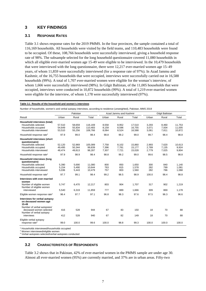# **3 KEY FINDINGS**

#### **3.1 RESPONSE RATES**

Table 3.1 shows response rates for the 2019 PMMS. In the four provinces, the sample contained a total of 116,169 households. All households were visited by the field teams, and 110,483 households were found to be occupied. Of these, 108,766 households were successfully interviewed, giving a household response rate of 98%. The subsample selected for the long household questionnaire covered 11,080 households in which all eligible ever-married women age 15-49 were eligible to be interviewed. In the 10,479 households that were interviewed with the long questionnaire, there were 12,217 ever-married women age 15–49 years, of whom 11,859 were successfully interviewed (for a response rate of 97%). In Azad Jammu and Kashmir, of the 16,755 households that were occupied, interviews were successfully carried out in 16,588 households (99%). A total of 1,707 ever-married women were eligible for the woman's interview, of whom 1,666 were successfully interviewed (98%). In Gilgit Baltistan, of the 11,005 households that were occupied, interviews were conducted in 10,872 households (99%). A total of 1,219 ever-married women were eligible for the interview, of whom 1,178 were successfully interviewed (97%).

#### **Table 3.1 Results of the household and women's interviews**

Number of households, women's and verbal autopsy interviews, according to residence (unweighted), Pakistan, MMS 2019

|                                                                                                                                                                                                                                                                                     |                                                   | Pakistan                                          |                                                        |                                         | Azad Jammu and Kashmir                  |                                                   |                                          | Gilgit Baltistan                        |                                                   |
|-------------------------------------------------------------------------------------------------------------------------------------------------------------------------------------------------------------------------------------------------------------------------------------|---------------------------------------------------|---------------------------------------------------|--------------------------------------------------------|-----------------------------------------|-----------------------------------------|---------------------------------------------------|------------------------------------------|-----------------------------------------|---------------------------------------------------|
| Result                                                                                                                                                                                                                                                                              | Urban                                             | Rural                                             | Total                                                  | Urban                                   | Rural                                   | Total                                             | Urban                                    | Rural                                   | Total                                             |
| Household interviews (total)<br>Households selected<br>Households occupied<br>Households interviewed                                                                                                                                                                                | 57.510<br>54,649<br>53,510                        | 58.659<br>55,834<br>55,256                        | 116.169<br>110.483<br>108,766                          | 8,558<br>8,159<br>8,064                 | 8,952<br>8,596<br>8,524                 | 17.510<br>16,755<br>16,588                        | 3,293<br>3,071<br>3,061                  | 8.460<br>7,934<br>7,811                 | 11.753<br>11,005<br>10,872                        |
| Household response rate <sup>1</sup>                                                                                                                                                                                                                                                | 97.9                                              | 99.0                                              | 98.4                                                   | 98.8                                    | 99.2                                    | 99.0                                              | 99.7                                     | 98.4                                    | 98.8                                              |
| Household interviews (short<br>questionnaire)<br>Households selected<br>Households occupied<br>Households interviewed                                                                                                                                                               | 52,120<br>49,495<br>48,474                        | 52,969<br>50,344<br>49,813                        | 105,089<br>99,839<br>98,287                            | 7,758<br>7,396<br>7,307                 | 8,102<br>7,781<br>7,721                 | 15,860<br>15,177<br>15,028                        | 2,993<br>2,789<br>2,779                  | 7,620<br>7,135<br>7,025                 | 10,613<br>9,924<br>9,804                          |
| Household response rate <sup>1</sup>                                                                                                                                                                                                                                                | 97.9                                              | 98.9                                              | 98.4                                                   | 98.8                                    | 99.2                                    | 99.0                                              | 99.6                                     | 98.5                                    | 98.8                                              |
| <b>Household interviews (long</b><br>questionnaire)<br>Households selected<br>Households occupied<br>Households interviewed<br>Household response rate <sup>1</sup><br>Interviews with ever-married<br>women<br>Number of eligible women<br>Number of eligible women<br>interviewed | 5,390<br>5,154<br>5,036<br>97.7<br>5,747<br>5,540 | 5,690<br>5,490<br>5,443<br>99.1<br>6,470<br>6,319 | 11,080<br>10,644<br>10,479<br>98.4<br>12,217<br>11,859 | 800<br>763<br>757<br>99.2<br>803<br>777 | 850<br>815<br>803<br>98.5<br>904<br>889 | 1,650<br>1,578<br>1,560<br>98.9<br>1,707<br>1,666 | 300<br>282<br>282<br>100.0<br>317<br>309 | 840<br>799<br>786<br>98.4<br>902<br>869 | 1,140<br>1,081<br>1,068<br>98.8<br>1,219<br>1,178 |
| Eligible women response rate <sup>2</sup>                                                                                                                                                                                                                                           | 96.4                                              | 97.7                                              | 97.1                                                   | 96.8                                    | 98.3                                    | 97.6                                              | 97.5                                     | 96.3                                    | 96.6                                              |
| Interviews for verbal autopsy<br>on deceased women age<br>15-49<br>Number of verbal autopsies/<br>deceased women selected<br>Number of verbal autopsy<br>interviews                                                                                                                 | 416<br>412                                        | 528<br>528                                        | 944<br>940                                             | 67<br>67                                | 83<br>82                                | 150<br>149                                        | 18<br>18                                 | 70<br>70                                | 88<br>88                                          |
| Eligible verbal autopsy<br>response rate <sup>3</sup>                                                                                                                                                                                                                               | 99.0                                              | 100.0                                             | 99.6                                                   | 100.0                                   | 98.8                                    | 99.3                                              | 100.0                                    | 100.0                                   | 100.0                                             |

1 Households interviewed/households occupied

2 Women interviewed/eligible women

3 Verbal autopsies selected/verbal autopsies conducted

#### **3.2 CHARACTERISTICS OF RESPONDENTS**

Table 3.2 shows that in Pakistan, 42% of ever-married women in the PMMS sample are under age 30. Almost all ever-married women (95%) are currently married, and 37% are in urban areas. Fifty-two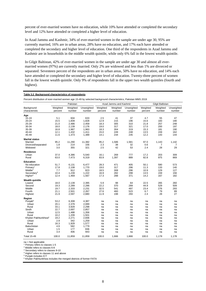percent of ever-married women have no education, while 10% have attended or completed the secondary level and 12% have attended or completed a higher level of education.

In Azad Jammu and Kashmir, 34% of ever-married women in the sample are under age 30, 95% are currently married, 16% are in urban areas, 28% have no education, and 17% each have attended or completed the secondary and higher level of education. One third of the respondents in Azad Jammu and Kashmir are in households in the middle wealth quintile, while only 6% fall in the lowest wealth quintile.

In Gilgit Baltistan, 42% of ever-married women in the sample are under age 30 and almost all evermarried women (97%) are currently married. Only 2% are widowed and less than 1% are divorced or separated. Seventeen percent of the respondents are in urban areas, 50% have no education, and 14% each have attended or completed the secondary and higher level of education. Twenty-three percent of women fall in the lowest wealth quintile. Only 9% of respondents fall in the upper two wealth quintiles (fourth and highest).

#### **Table 3.2 Background characteristics of respondents**

Percent distribution of ever-married women age 15-49 by selected background characteristics, Pakistan MMS 2019

|                                 |                     | Pakistan           |                      | Azad Jammu and Kashmir |                    |                      | Gilgit Baltistan    |                    |                      |
|---------------------------------|---------------------|--------------------|----------------------|------------------------|--------------------|----------------------|---------------------|--------------------|----------------------|
| Background<br>characteristic    | Weighted<br>percent | Weighted<br>number | Unweighted<br>number | Weighted<br>percent    | Weighted<br>number | Unweighted<br>number | Weighted<br>percent | Weighted<br>number | Unweighted<br>number |
| Age                             |                     |                    |                      |                        |                    |                      |                     |                    |                      |
| $15-19$                         | 5.1                 | 604                | 633                  | 2.5                    | 41                 | 37                   | 4.7                 | 55                 | 47                   |
| 20-24                           | 15.5                | 1,839              | 1,828                | 12.9                   | 215                | 196                  | 15.6                | 183                | 190                  |
| 25-29                           | 21.0                | 2,486              | 2,459                | 18.3                   | 305                | 310                  | 21.8                | 257                | 248                  |
| 30-34                           | 18.0                | 2,139              | 2,176                | 19.0                   | 317                | 321                  | 17.0                | 200                | 197                  |
| 35-39                           | 16.8                | 1,987              | 1,963                | 18.3                   | 304                | 319                  | 15.3                | 181                | 190                  |
| 40-44                           | 12.1                | 1,432              | 1,411                | 15.0                   | 249                | 248                  | 13.5                | 159                | 162                  |
| 45-49                           | 11.6                | 1,373              | 1,389                | 14.1                   | 234                | 235                  | 12.2                | 143                | 144                  |
| <b>Marital status</b>           |                     |                    |                      |                        |                    |                      |                     |                    |                      |
| Married                         | 95.2                | 11,290             | 11,382               | 95.2                   | 1,586              | 1,581                | 97.0                | 1,143              | 1,142                |
| Divorced/separated              | 1.8                 | 214                | 156                  | 2.3                    | 38                 | 32                   | 0.6                 | 7                  | 7                    |
| Widowed                         | 3.0                 | 355                | 321                  | 2.5                    | 42                 | 53                   | 2.4                 | 28                 | 29                   |
| Residence                       |                     |                    |                      |                        |                    |                      |                     |                    |                      |
| Urban                           | 37.0                | 4,386              | 5,540                | 16.1                   | 269                | 777                  | 17.2                | 203                | 309                  |
| Rural                           | 63.0                | 7,473              | 6,319                | 83.9                   | 1,397              | 889                  | 82.8                | 975                | 869                  |
| <b>Education</b>                |                     |                    |                      |                        |                    |                      |                     |                    |                      |
| No education                    | 51.7                | 6,131              | 6,477                | 28.3                   | 471                | 405                  | 50.1                | 590                | 573                  |
| Primary <sup>1</sup>            | 17.8                | 2,108              | 1,770                | 19.0                   | 317                | 296                  | 11.3                | 133                | 140                  |
| Middle <sup>2</sup>             | 7.7                 | 912                | 823                  | 18.5                   | 308                | 296                  | 10.9                | 129                | 127                  |
| Secondary <sup>3</sup>          | 10.4                | 1,239              | 1,222                | 16.9                   | 282                | 298                  | 13.5                | 159                | 156                  |
| Higher <sup>4</sup>             | 12.4                | 1,469              | 1,567                | 17.3                   | 288                | 371                  | 14.2                | 167                | 182                  |
| <b>Wealth quintile</b>          |                     |                    |                      |                        |                    |                      |                     |                    |                      |
| Lowest                          | 18.0                | 2,139              | 2,395                | 5.9                    | 98                 | 64                   | 22.5                | 265                | 260                  |
| Second                          | 19.3                | 2,289              | 2,286                | 22.2                   | 370                | 289                  | 44.9                | 529                | 509                  |
| Middle                          | 19.7                | 2,333              | 2,231                | 32.5                   | 541                | 497                  | 23.4                | 276                | 293                  |
| Fourth                          | 21.1                | 2,501              | 2,267                | 27.6                   | 460                | 523                  | 6.7                 | 79                 | 89                   |
| Highest                         | 21.9                | 2,597              | 2,680                | 11.9                   | 198                | 293                  | 2.4                 | 28                 | 27                   |
| Region                          |                     |                    |                      |                        |                    |                      |                     |                    |                      |
| Punjab <sup>5</sup>             | 53.2                | 6,308              | 4,387                | na                     | na                 | na                   | na                  | na                 | na                   |
| Urban                           | 20.1                | 2,379              | 2,089                | na                     | na                 | na                   | na                  | na                 | na                   |
| Rural                           | 33.1                | 3,929              | 2,298                | na                     | na                 | na                   | na                  | na                 | na                   |
| Sindh                           | 22.7                | 2,697              | 2,857                | na                     | na                 | na                   | na                  | na                 | na                   |
| Urban                           | 12.5                | 1,488              | 1,356                | na                     | na                 | na                   | na                  | na                 | na                   |
| Rural                           | 10.2                | 1,209              | 1,501                | na                     | na                 | na                   | na                  | na                 | na                   |
| Khyber Pakhtunkhwa <sup>6</sup> | 19.2                | 2,271              | 2,836                | na                     | na                 | na                   | na                  | na                 | na                   |
| Urban                           | 2.9                 | 342                | 1,259                | na                     | na                 | na                   | na                  | na                 | na                   |
| Rural                           | 16.3                | 1,929              | 1,577                | na                     | na                 | na                   | na                  | na                 | na                   |
| Balochistan                     | 4.9                 | 582                | 1,779                | na                     | na                 | na                   | na                  | na                 | na                   |
| Urban                           | 1.5                 | 177                | 836                  | na                     | na                 | na                   | na                  | na                 | na                   |
| Rural                           | 3.4                 | 406                | 943                  | na                     | na                 | na                   | na                  | na                 | na                   |
| <b>Total 15-49</b>              | 100.0               | 11,859             | 11,859               | 100.0                  | 1,666              | 1,666                | 100.0               | 1,178              | 1,178                |

na = Not applicable

1 Primary refers to classes 1-5

2 Middle refers to classes 6-8

3 Secondary refers to classes 9-10

4 Higher refers to classes 11 and above

5 Punjab includes ICT

<sup>6</sup> Khyber Pakhtunkhwa includes the merged districts of former FATA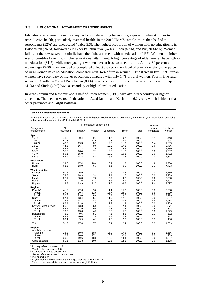#### **3.3 EDUCATIONAL ATTAINMENT OF RESPONDENTS**

Educational attainment remains a key factor in determining behaviours, especially when it comes to reproductive health, particularly maternal health. In the 2019 PMMS sample, more than half of the respondents (52%) are uneducated (Table 3.3). The highest proportion of women with no education is in Balochistan (76%), followed by Khyber Pakhtunkhwa (67%), Sindh (57%), and Punjab (42%). Women falling in the lowest wealth quintile have the highest percent with no education (91%). Women in higher wealth quintiles have much higher educational attainment. A high percentage of older women have little or no education (81%), while most younger women have at least some education. Almost 30 percent of women age 25-29 have attended or completed at least the secondary level of education. Sixty-two percent of rural women have no education, compared with 34% of urban women. Almost two in five (39%) urban women have secondary or higher education, compared with only 14% of rural women. Four in five rural women in Sindh (82%) and Balochistan (80%) have no education. Two in five urban women in Punjab (41%) and Sindh (40%) have a secondary or higher level of education.

In Azad Jammu and Kashmir, about half of urban women (51%) have attained secondary or higher education. The median years of education in Azad Jammu and Kashmir is 6.2 years, which is higher than other provinces and Gilgit Baltistan.

|  | Table 3.3 Educational attainment |  |
|--|----------------------------------|--|
|  |                                  |  |

Percent distribution of ever-married women age 15-49 by highest level of schooling completed, and median years completed, according to background characteristics, Pakistan MMS 2019

| Median<br><b>No</b><br>Background<br>years<br>characteristic<br>education<br>Primary <sup>1</sup><br>Middle <sup>2</sup><br>Secondary <sup>3</sup><br>Higher <sup>4</sup><br>Total<br>completed | Number of<br>women<br>2,443 |
|-------------------------------------------------------------------------------------------------------------------------------------------------------------------------------------------------|-----------------------------|
|                                                                                                                                                                                                 |                             |
| Age                                                                                                                                                                                             |                             |
| $15 - 24$<br>48.8<br>9.4<br>11.7<br>9.7<br>1.1<br>20.4<br>100.0                                                                                                                                 |                             |
| 51.3<br>23.7<br>12.0<br>9.8<br>3.1<br>100.0<br>0.0<br>15-19                                                                                                                                     | 604                         |
| 20-24<br>48.0<br>19.3<br>8.5<br>11.9<br>100.0<br>1.4<br>12.3                                                                                                                                    | 1,839                       |
| 25-29<br>16.7<br>9.9<br>17.2<br>100.0<br>3.6<br>44.3<br>12.0                                                                                                                                    | 2,486                       |
| 30-34<br>45.2<br>21.3<br>7.6<br>10.3<br>15.5<br>100.0<br>2.7                                                                                                                                    | 2,139                       |
| 55.6<br>100.0<br>35-39<br>16.4<br>7.1<br>9.6<br>11.3<br>0.0                                                                                                                                     | 1,987                       |
| $40 - 44$<br>59.1<br>15.0<br>4.7<br>10.9<br>10.3<br>100.0<br>0.0                                                                                                                                | 1,432                       |
| 45-49<br>66.9<br>14.4<br>4.8<br>6.5<br>7.3<br>100.0<br>0.0                                                                                                                                      | 1,373                       |
| Residence                                                                                                                                                                                       |                             |
| Urban<br>33.6<br>17.4<br>10.4<br>16.9<br>21.7<br>100.0<br>4.9                                                                                                                                   | 4,386                       |
| 62.3<br>18.0<br>6.1<br>6.6<br>6.9<br>100.0<br>Rural<br>0.0                                                                                                                                      | 7,473                       |
| <b>Wealth quintile</b>                                                                                                                                                                          |                             |
| 91.2<br>6.9<br>1.1<br>0.6<br>0.2<br>100.0<br>0.0<br>Lowest                                                                                                                                      | 2,139                       |
| 73.8<br>18.3<br>3.9<br>2.4<br>1.5<br>100.0<br>Second<br>0.0                                                                                                                                     | 2,289                       |
| 57.1<br>25.3<br>7.5<br>4.2<br>100.0<br>Middle<br>5.9<br>0.0                                                                                                                                     | 2,333                       |
| 32.0<br>23.6<br>18.6<br>12.9<br>100.0<br>4.6<br>Fourth<br>12.8                                                                                                                                  | 2,501                       |
| 13.7<br>13.9<br>21.8<br>38.8<br>100.0<br>11.7<br>9.4<br>Highest                                                                                                                                 | 2,597                       |
| Region                                                                                                                                                                                          |                             |
| Punjab <sup>5</sup><br>41.7<br>22.0<br>9.8<br>11.4<br>15.0<br>100.0<br>3.8                                                                                                                      | 6,308                       |
| 27.2<br>20.4<br>16.7<br>23.9<br>100.0<br>6.5<br>Urban<br>11.9                                                                                                                                   | 2,379                       |
| 50.5<br>8.6<br>8.3<br>9.6<br>Rural<br>23.0<br>100.0<br>0.0                                                                                                                                      | 3,929                       |
| 57.1<br>13.4<br>5.4<br>11.9<br>12.2<br>100.0<br>0.0<br>Sindh                                                                                                                                    | 2,697                       |
| 20.5<br>36.5<br>14.7<br>8.4<br>19.8<br>100.0<br>4.9<br>Urban                                                                                                                                    | 1,488                       |
| 82.4<br>11.8<br>1.7<br>2.2<br>1.9<br>100.0<br>Rural<br>0.0                                                                                                                                      | 1,209                       |
| 66.8<br>13.3<br>5.0<br>7.5<br>7.4<br>Khyber Pakhtunkhwa <sup>6</sup><br>100.0<br>0.0                                                                                                            | 2,271                       |
| 48.5<br>11.9<br>9.5<br>12.3<br>17.8<br>100.0<br>1.8<br>Urban<br>6.6<br>Rural<br>70.0<br>5.6<br>100.0<br>0.0                                                                                     | 342<br>1,929                |
| 13.6<br>4.3<br>Balochistan<br>76.2<br>9.6<br>5.2<br>4.5<br>100.0<br>4.5<br>0.0                                                                                                                  | 582                         |
| 66.5<br>100.0<br>Urban<br>10.0<br>7.9<br>5.4<br>10.2<br>0.0                                                                                                                                     | 177                         |
| Rural<br>80.4<br>9.5<br>4.1<br>4.0<br>2.0<br>100.0<br>0.0                                                                                                                                       | 406                         |
| 7.7<br>12.4<br>Total <sup>7</sup><br>51.7<br>17.8<br>10.4<br>100.0<br>0.0                                                                                                                       | 11,859                      |
| Region                                                                                                                                                                                          |                             |
| Azad Jammu and                                                                                                                                                                                  |                             |
| 28.3<br>6.2<br>Kashmir<br>19.0<br>18.5<br>16.9<br>17.3<br>100.0                                                                                                                                 | 1,666                       |
| 16.3<br>16.0<br>17.2<br>32.1<br>100.0<br>8.2<br>Urban<br>18.6                                                                                                                                   | 269                         |
| 30.6<br>18.8<br>100.0<br>Rural<br>19.6<br>16.6<br>14.4<br>5.0                                                                                                                                   | 1,397                       |
| 11.3<br>13.5<br>Gilgit Baltistan<br>50.1<br>10.9<br>14.2<br>100.0<br>0.0                                                                                                                        | 1,178                       |

1 Primary refers to classes 1-5

<sup>2</sup> Middle refers to classes 6-8

3 Secondary refers to classes 9-10 4 Higher refers to classes 11 and above

5 Punjab includes ICT

<sup>6</sup> Khyber Pakhtunkhwa includes the merged districts of former FATA

<sup>7</sup> Total excludes Azad Jammu and Kashmir and Gilgit Baltistan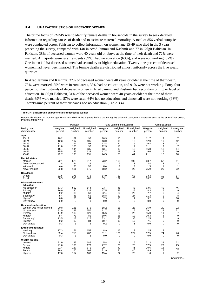#### **3.4 CHARACTERISTICS OF DECEASED WOMEN**

The prime focus of PMMS was to identify female deaths in households in the survey to seek detailed information regarding causes of death and to estimate maternal mortality. A total of 856 verbal autopsies were conducted across Pakistan to collect information on women age 15-49 who died in the 3 years preceding the survey, compared with 140 in Azad Jammu and Kashmir and 77 in Gilgit Baltistan. In Pakistan, 38% of deceased women were 40 years old or above at the time of their death and 72% were married. A majority were rural residents (69%), had no education (63%), and were not working (82%). One in ten (11%) deceased women had secondary or higher education. Twenty-one percent of deceased women had never been married. The female deaths are distributed almost uniformly across the five wealth quintiles.

In Azad Jammu and Kashmir, 37% of deceased women were 40 years or older at the time of their death, 73% were married, 85% were in rural areas, 33% had no education, and 91% were not working. Forty-four percent of the husbands of deceased women in Azad Jammu and Kashmir had secondary or higher level of education. In Gilgit Baltistan, 31% of the deceased women were 40 years or older at the time of their death, 69% were married, 87% were rural, 64% had no education, and almost all were not working (98%). Twenty-nine percent of their husbands had no education (Table 3.4).

#### **Table 3.4 Background characteristics of deceased women**

Percent distribution of women age 15-49 who died in the 3 years before the survey by selected background characteristics at the time of her death, Pakistan MMS 2019

|                                                                                                                                                                                     |                                                                            | Pakistan                                                       |                                                               |                                                                            | Azad Jammu and Kashmir                                  |                                                         |                                                                           | Gilgit Baltistan                                                            |                                                                                           |
|-------------------------------------------------------------------------------------------------------------------------------------------------------------------------------------|----------------------------------------------------------------------------|----------------------------------------------------------------|---------------------------------------------------------------|----------------------------------------------------------------------------|---------------------------------------------------------|---------------------------------------------------------|---------------------------------------------------------------------------|-----------------------------------------------------------------------------|-------------------------------------------------------------------------------------------|
| Background<br>characteristic                                                                                                                                                        | Weighted<br>percent                                                        | Weighted<br>number                                             | Unweighted<br>number                                          | Weighted<br>percent                                                        | Weighted<br>number                                      | Unweighted<br>number                                    | Weighted<br>percent                                                       | Weighted<br>number                                                          | Unweighted<br>number                                                                      |
| Age<br>$15 - 19$<br>$20 - 24$<br>25-29<br>30-34<br>35-39<br>40-44<br>45-49<br><b>Marital status</b><br>Married<br>Divorced/separated<br>Widowed                                     | 10.2<br>12.3<br>11.1<br>11.8<br>16.4<br>15.5<br>22.7<br>72.1<br>2.8<br>4.4 | 89<br>107<br>97<br>103<br>144<br>135<br>198<br>629<br>24<br>38 | 98<br>105<br>98<br>96<br>135<br>133<br>191<br>617<br>26<br>38 | 10.3<br>13.0<br>13.8<br>12.3<br>13.4<br>12.7<br>24.5<br>73.2<br>2.2<br>6.4 | 15<br>19<br>20<br>18<br>19<br>18<br>35<br>105<br>3<br>9 | 12<br>15<br>16<br>17<br>18<br>21<br>41<br>100<br>3<br>9 | 11.7<br>12.9<br>16.8<br>11.1<br>16.8<br>9.6<br>21.1<br>68.7<br>3.4<br>1.9 | 9<br>10<br>13<br>9<br>13<br>$\overline{7}$<br>16<br>52<br>3<br>$\mathbf{1}$ | $\overline{7}$<br>12<br>11<br>$\overline{7}$<br>14<br>10<br>16<br>51<br>3<br>$\mathbf{1}$ |
| Never married                                                                                                                                                                       | 20.8                                                                       | 181                                                            | 175                                                           | 18.2                                                                       | 26                                                      | 28                                                      | 25.9                                                                      | 20                                                                          | 22                                                                                        |
| Residence<br>Urban<br>Rural                                                                                                                                                         | 31.5<br>68.5                                                               | 275<br>598                                                     | 376<br>480                                                    | 14.9<br>85.1                                                               | 21<br>122                                               | 62<br>78                                                | 13.3<br>86.7                                                              | 10<br>66                                                                    | 17<br>60                                                                                  |
| <b>Diseased women's</b><br>education<br>No education<br>Primary <sup>1</sup><br>Middle <sup>2</sup><br>Secondary <sup>3</sup><br>Higher <sup>4</sup><br>Don't know                  | 63.3<br>16.0<br>9.2<br>5.4<br>6.0<br>0.0                                   | 552<br>140<br>80<br>48<br>53<br>0                              | 544<br>132<br>68<br>55<br>54<br>3                             | 33.4<br>17.5<br>22.4<br>18.8<br>7.9<br>0.0                                 | 48<br>25<br>32<br>27<br>11<br>0                         | 48<br>25<br>26<br>27<br>14<br>$\mathbf 0$               | 63.5<br>8.3<br>7.7<br>11.3<br>9.2<br>0.0                                  | 49<br>6<br>6<br>9<br>$\overline{7}$<br>0                                    | 46<br>9<br>$\overline{\mathbf{4}}$<br>8<br>10<br>$\mathbf 0$                              |
| <b>Husband's education</b><br>Woman was never married<br>No education<br>Primary <sup>1</sup><br>Middle <sup>2</sup><br>Secondary <sup>3</sup><br>Higher <sup>4</sup><br>Don't know | 20.8<br>32.9<br>14.9<br>8.4<br>13.5<br>9.2<br>0.3                          | 181<br>287<br>130<br>73<br>118<br>80<br>3                      | 175<br>257<br>128<br>81<br>126<br>84<br>5                     | 18.2<br>11.7<br>15.6<br>10.6<br>33.1<br>10.7<br>0.2                        | 26<br>17<br>22<br>15<br>47<br>15<br>$\mathbf 0$         | 28<br>15<br>22<br>19<br>36<br>19<br>$\mathbf{1}$        | 25.9<br>29.1<br>15.0<br>10.3<br>12.5<br>7.1<br>0.0                        | 20<br>22<br>11<br>8<br>10<br>5<br>$\mathbf 0$                               | 22<br>21<br>$\overline{7}$<br>9<br>9<br>9<br>$\Omega$                                     |
| <b>Employment status</b><br>Working<br>Not working<br>Don't know                                                                                                                    | 17.3<br>82.4<br>0.3                                                        | 151<br>719<br>3                                                | 152<br>702<br>2                                               | 8.9<br>91.1<br>0.0                                                         | 13<br>130<br>0                                          | 13<br>127<br>$\mathbf 0$                                | 2.5<br>97.5<br>0.0                                                        | 2<br>74<br>$\mathbf 0$                                                      | $\mathbf{1}$<br>76<br>$\mathbf 0$                                                         |
| <b>Wealth quintile</b><br>Lowest<br>Second<br>Middle<br>Fourth<br>Highest                                                                                                           | 21.0<br>21.6<br>21.4<br>18.4<br>17.6                                       | 183<br>189<br>187<br>160<br>154                                | 186<br>170<br>171<br>163<br>166                               | 5.8<br>27.2<br>29.7<br>21.9<br>15.4                                        | 8<br>39<br>42<br>31<br>22                               | 6<br>25<br>41<br>40<br>28                               | 31.3<br>37.5<br>20.6<br>8.9<br>1.6                                        | 24<br>29<br>16<br>7<br>1                                                    | 22<br>25<br>21<br>$\overline{7}$<br>$\overline{2}$                                        |

*Continued…*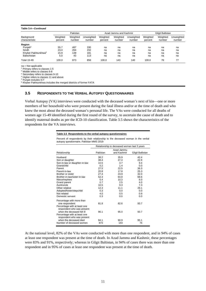#### **Table 3.4—***Continued*

|                                 | Pakistan            |                    |                      |                     | Azad Jammu and Kashmir |                      |                     | Gilgit Baltistan   |                      |  |
|---------------------------------|---------------------|--------------------|----------------------|---------------------|------------------------|----------------------|---------------------|--------------------|----------------------|--|
| Background<br>characteristic    | Weighted<br>percent | Weighted<br>number | Unweighted<br>number | Weighted<br>percent | Weighted<br>number     | Unweighted<br>number | Weighted<br>percent | Weighted<br>number | Unweighted<br>number |  |
| Region                          |                     |                    |                      |                     |                        |                      |                     |                    |                      |  |
| Punjab <sup>5</sup>             | 55.7                | 487                | 330                  | na                  | na                     | na                   | na                  | na                 | na                   |  |
| Sindh                           | 23.4                | 204                | 232                  | na                  | na                     | na                   | na                  | na                 | na                   |  |
| Khyber Pakhtunkhwa <sup>6</sup> | 15.9                | 139                | 181                  | na                  | na                     | na                   | na                  | na                 | na                   |  |
| Balochistan                     | 5.0                 | 43                 | 113                  | na                  | na                     | na                   | na                  | na                 | na                   |  |
| <b>Total 15-49</b>              | 100.0               | 873                | 856                  | 100.0               | 143                    | 140                  | 100.0               | 76                 | 77                   |  |

2 Middle refers to classes 6-8

3 Secondary refers to classes 9-10

4 Higher refers to classes 11 and above

5 Punjab includes ICT

6 Khyber Pakhtunkhwa includes the merged districts of former FATA

#### **3.5 RESPONDENTS TO THE VERBAL AUTOPSY QUESTIONNAIRES**

Verbal Autopsy (VA) interviews were conducted with the deceased woman's next of kin—one or more members of her household who were present during the fatal illness and/or at the time of death and who knew the most about the deceased woman's personal life. The VAs were conducted for all deaths of women age 15-49 identified during the first round of the survey, to ascertain the cause of death and to identify maternal deaths as per the ICD-10 classification. Table 3.5 shows the characteristics of the respondents for the VA interviews.

#### **Table 3.5 Respondents to the verbal autopsy questionnaires**

Percent of respondents by their relationship to the deceased woman in the verbal autopsy questionnaire, Pakistan MMS 2019

|                               | Relationship to deceased woman last 3 years |             |                  |  |  |  |  |
|-------------------------------|---------------------------------------------|-------------|------------------|--|--|--|--|
|                               |                                             | Azad Jammu  |                  |  |  |  |  |
| Relationship                  | Pakistan                                    | and Kashmir | Gilgit Baltistan |  |  |  |  |
| Husband                       | 38.2                                        | 35.9        | 42.4             |  |  |  |  |
| Son or daughter               | 38.4                                        | 274         | 22.9             |  |  |  |  |
| Son-in-law or daughter-in-law | 10.5                                        | 3.7         | 9.4              |  |  |  |  |
| Grandchild                    | 0.2                                         | 1.4         | 0.0              |  |  |  |  |
| Parent                        | 27.5                                        | 22.5        | 36.3             |  |  |  |  |
| Parent-in-law                 | 20.8                                        | 17.8        | 25.3             |  |  |  |  |
| Brother or sister             | 27.4                                        | 23.9        | 32.0             |  |  |  |  |
| Brother-in-law/sister-in-law  | 52.3                                        | 64.8        | 68.6             |  |  |  |  |
| Niece/nephew                  | 5.4                                         | 10.3        | 6.0              |  |  |  |  |
| Grand parent                  | 0.7                                         | 2.5         | 4.0              |  |  |  |  |
| Aunt/uncle                    | 10.5                                        | 9.3         | 7.3              |  |  |  |  |
| Other relative                | 12.3                                        | 11.1        | 29.1             |  |  |  |  |
| Adopted/foster/stepchild      | 0.3                                         | 0.0         | 0.0              |  |  |  |  |
| Not related                   | 4.0                                         | 0.5         | 0.9              |  |  |  |  |
| Domestic servant              | 0.3                                         | 0.0         | 0.0              |  |  |  |  |
| Percentage with more than     |                                             |             |                  |  |  |  |  |
| one respondent                | 81.8                                        | 82.6        | 93.7             |  |  |  |  |
| Percentage with at least one  |                                             |             |                  |  |  |  |  |
| respondent who was present    |                                             |             |                  |  |  |  |  |
| when the deceased fell ill    | 96.1                                        | 95.0        | 93.7             |  |  |  |  |
| Percentage with at least one  |                                             |             |                  |  |  |  |  |
| respondent who was present    |                                             |             |                  |  |  |  |  |
| when the deceased died        | 94.1                                        | 90.9        | 95.1             |  |  |  |  |
| Number of deceased women      | 873                                         | 143         | 76               |  |  |  |  |

At the national level, 82% of the VAs were conducted with more than one respondent, and in 94% of cases at least one respondent was present at the time of death. In Azad Jammu and Kashmir, these percentages were 83% and 91%, respectively; whereas in Gilgit Baltistan, in 94% of cases there was more than one respondent and in 95% of cases at least one respondent was present at the time of death.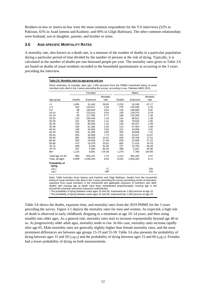Brothers-in-law or sisters-in-law were the most common respondents for the VA interviews (52% in Pakistan, 65% in Azad Jammu and Kashmir, and 69% in Gilgit Baltistan). The other common relationships were husband, son or daughter, parents, and brother or sister.

#### **3.6 AGE-SPECIFIC MORTALITY RATES**

A mortality rate, also known as a death rate, is a measure of the number of deaths in a particular population during a particular period of time divided by the number of persons at the risk of dying. Typically, it is calculated as the number of deaths per one thousand people per year. The mortality rates given in Table 3.6 are based on deaths of usual residents recorded in the household questionnaire as occurring in the 3 years preceding the interview.

#### **Table 3.6 Mortality rates by age-group and sex**

Direct estimates of mortality rates (per 1,000 persons) from the PMMS household listing of usual members who died in the 3 years preceding the survey, according to sex, Pakistan MMS 2019

|                         |        | Females   |                   | Males  |           |                   |  |  |
|-------------------------|--------|-----------|-------------------|--------|-----------|-------------------|--|--|
| Age group               | Deaths | Exposure  | Mortality<br>rate | Deaths | Exposure  | Mortality<br>rate |  |  |
| $<$ 1                   | 1,855  | 31,442    | 59.00             | 2,233  | 33,248    | 67.17             |  |  |
| $1 - 4$                 | 343    | 116,917   | 2.94              | 279    | 125,440   | 2.22              |  |  |
| $5 - 9$                 | 88     | 139,430   | 0.63              | 145    | 148,800   | 0.97              |  |  |
| $10 - 14$               | 67     | 123,614   | 0.54              | 100    | 128,370   | 0.78              |  |  |
| 15-19                   | 90     | 117,365   | 0.77              | 169    | 115,300   | 1.46              |  |  |
| $20 - 24$               | 110    | 100,449   | 1.10              | 124    | 89,522    | 1.39              |  |  |
| 25-29                   | 101    | 90,591    | 1.12              | 146    | 79,032    | 1.85              |  |  |
| 30-34                   | 103    | 68,283    | 1.51              | 134    | 64,327    | 2.09              |  |  |
| 35-39                   | 150    | 61,286    | 2.45              | 115    | 57,463    | 2.00              |  |  |
| 40-44                   | 136    | 44,828    | 3.03              | 221    | 44,956    | 4.91              |  |  |
| 45-49                   | 200    | 41,395    | 4.83              | 303    | 40,846    | 7.41              |  |  |
| 50-54                   | 255    | 32,958    | 7.74              | 423    | 33,427    | 12.67             |  |  |
| 55-59                   | 381    | 26,629    | 14.31             | 503    | 28,756    | 17.51             |  |  |
| 60-64                   | 535    | 19,538    | 27.40             | 639    | 23,469    | 27.22             |  |  |
| 65-69                   | 472    | 14,078    | 33.52             | 605    | 17,415    | 34.76             |  |  |
| 70-74                   | 509    | 8,248     | 61.66             | 737    | 10,793    | 68.26             |  |  |
| 75-79                   | 347    | 5.300     | 65.44             | 399    | 6,341     | 62.86             |  |  |
| $80+$                   | 1,215  | 6,891     | 176.38            | 1,279  | 7,760     | 164.86            |  |  |
| Total age 15-49         | 890    | 524,197   | 1.70              | 1,212  | 491,445   | 2.47              |  |  |
| Total, all ages         | 6,959  | 1,049,243 | 6.63              | 8,554  | 1,055,263 | 8.11              |  |  |
| Probability of<br>dying |        |           |                   |        |           |                   |  |  |
| $35q15$ <sup>1</sup>    |        |           | 71                |        |           | 100               |  |  |
| $45q15^2$               |        |           | 168               |        |           | 226               |  |  |

Note: Table excludes Azad Jammu and Kashmir and Gilgit Baltistan. Deaths from the household listing of usual members who died in the 3 years preceding the survey (excluding month of interview); exposure from usual members in the household and applicable exposure of members who died; deaths with missing age at death have been redistributed proportionately; missing age in the household schedule (assumed exposure) redistributed.

1 The probability of dying between exact ages 15 and 50, expressed per 1,000 persons at age 15 2 The probability of dying between exact ages 15 and 60, expressed per 1,000 persons at age 15

Table 3.6 shows the deaths, exposure time, and mortality rates from the 2019 PMMS for the 3 years preceding the survey. Figure 3.1 depicts the mortality rates for men and women. As expected, a high risk of death is observed in early childhood, dropping to a minimum at age 10–14 years, and then rising steadily into older ages. As a general rule, mortality rates start to increase exponentially beyond age 40 or so. At progressively older adult ages, mortality tends to rise. In this case, mortality rates increase rapidly after age 65. Male mortality rates are generally slightly higher than female mortality rates, and the most prominent differences are between age groups 15-19 and 55-59. Table 3.6 also presents the probability of dying between ages 15 and 50  $\left(\frac{35q_{15}}{2}\right)$  and the probability of dying between ages 15 and 60  $\left(\frac{45q_{15}}{2}\right)$ . Females had a lower probability of dying on both measurements.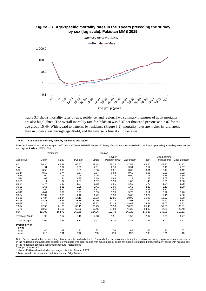

#### *Figure 3.1* **Age-specific mortality rates in the 3 years preceding the survey by sex (log scale), Pakistan MMS 2019**

Table 3.7 shows mortality rates by age, residence, and region. Two summary measures of adult mortality are also highlighted. The overall mortality rate for Pakistan was 7.37 per thousand persons and 2.07 for the age group 15-49. With regard to patterns by residence (Figure 3.2), mortality rates are higher in rural areas than in urban areas through age 40-44, and the reverse is true at all older ages.

#### **Table 3.7 Age-specific mortality rates by residence and region**

Direct estimates of mortality rates (per 1,000 persons) from the PMMS household listing of usual members who died in the 3 years preceding according to residence and region, Pakistan MMS 2019

|                         |        | Residence |                     |        | Region                             |             |                    |                           |                  |
|-------------------------|--------|-----------|---------------------|--------|------------------------------------|-------------|--------------------|---------------------------|------------------|
| Age group               | Urban  | Rural     | Punjab <sup>1</sup> | Sindh  | Khyber<br>Pakhtunkhwa <sup>2</sup> | Balochistan | Total <sup>3</sup> | Azad Jammu<br>and Kashmir | Gilgit Baltistan |
| $<$ 1                   | 56.34  | 66.39     | 66.62               | 68.14  | 55.23                              | 47.59       | 63.20              | 47.20                     | 54.97            |
| $1 - 4$                 | 1.91   | 2.87      | 2.69                | 2.51   | 2.10                               | 3.34        | 2.57               | 2.11                      | 2.07             |
| $5-9$                   | 0.56   | 0.93      | 0.81                | 0.86   | 0.81                               | 0.65        | 0.81               | 0.47                      | 1.12             |
| $10 - 14$               | 0.52   | 0.74      | 0.57                | 0.87   | 0.68                               | 0.62        | 0.66               | 0.26                      | 0.32             |
| 15-19                   | 1.04   | 1.16      | 0.98                | 1.25   | 1.34                               | 0.90        | 1.11               | 1.15                      | 1.39             |
| 20-24                   | 1.08   | 1.34      | 1.35                | 1.19   | 0.98                               | 1.19        | 1.23               | 2.05                      | 1.34             |
| 25-29                   | 1.14   | 1.67      | 1.37                | 1.37   | 1.98                               | 1.06        | 1.46               | 2.00                      | 1.58             |
| 30-34                   | 1.74   | 1.82      | 1.87                | 1.53   | 1.91                               | 1.69        | 1.79               | 1.84                      | 1.78             |
| 35-39                   | 1.66   | 2.61      | 2.28                | 2.41   | 2.06                               | 1.62        | 2.23               | 2.10                      | 1.90             |
| 40-44                   | 3.64   | 4.20      | 4.18                | 3.82   | 3.92                               | 2.55        | 3.97               | 3.12                      | 2.07             |
| 45-49                   | 6.44   | 5.89      | 6.97                | 6.53   | 3.53                               | 3.70        | 6.11               | 6.72                      | 3.76             |
| 50-54                   | 12.37  | 8.83      | 11.42               | 11.42  | 5.98                               | 5.65        | 10.22              | 7.11                      | 4.90             |
| 55-59                   | 17.84  | 14.84     | 17.11               | 16.93  | 12.85                              | 10.99       | 15.97              | 16.22                     | 6.00             |
| 60-64                   | 32.33  | 24.36     | 28.76               | 29.10  | 22.13                              | 22.98       | 27.30              | 24.60                     | 13.38            |
| 65-69                   | 41.15  | 30.63     | 36.08               | 33.77  | 33.19                              | 18.67       | 34.21              | 32.07                     | 17.73            |
| 70-74                   | 72.33  | 61.68     | 66.19               | 69.75  | 59.53                              | 60.72       | 65.40              | 57.88                     | 35.51            |
| 75-79                   | 68.66  | 61.66     | 63.72               | 66.45  | 67.80                              | 41.23       | 64.03              | 47.71                     | 23.48            |
| $80+$                   | 181.92 | 164.79    | 162.58              | 184.36 | 192.78                             | 141.22      | 170.28             | 148.86                    | 118.11           |
| Total age 15-49         | 1.92   | 2.17      | 2.18                | 2.08   | 1.91                               | 1.50        | 2.07               | 2.33                      | 1.77             |
| Total, all ages         | 7.06   | 7.55      | 8.13                | 6.91   | 6.70                               | 4.82        | 7.37               | 8.07                      | 5.72             |
| Probability of<br>dying |        |           |                     |        |                                    |             |                    |                           |                  |
| 35915                   | 80     | 89        | 91                  | 87     | 76                                 | 62          | 86                 | 91                        | 67               |
| 45Q15                   | 210    | 191       | 212                 | 208    | 159                                | 137         | 198                | 191                       | 116              |

Note: Deaths from the household listing of usual members who died in the 3 years before the survey (excluding the month of interview); exposure of usual members in the household and applicable exposure of members who died; deaths with missing age at death have been redistributed proportionately; cases with missing age in the household schedule (assumed exposure) redistributed

<sup>1</sup> Punjab includes ICT

2 Khyber Pakhtunkhwa includes the merged districts of former FATA

3 Total excludes Azad Jammu and Kashmir and Gilgit Baltistan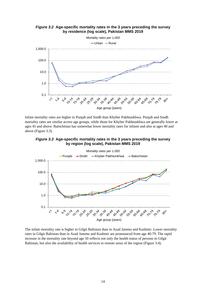

Infant mortality rates are higher in Punjab and Sindh than Khyber Pakhtunkhwa. Punjab and Sindh mortality rates are similar across age groups, while those for Khyber Pakhtunkhwa are generally lower at ages 45 and above. Balochistan has somewhat lower mortality rates for infants and also at ages 40 and above (Figure 3.3).





The infant mortality rate is higher in Gilgit Baltistan than in Azad Jammu and Kashmir. Lower mortality rates in Gilgit Baltistan than in Azad Jammu and Kashmir are pronounced from age 40-79. The rapid increase in the mortality rate beyond age 50 reflects not only the health status of persons in Gilgit Baltistan, but also the availability of health services in remote areas of the region (Figure 3.4).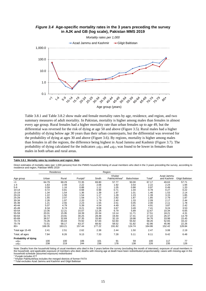

*Figure 3.4* **Age-specific mortality rates in the 3 years preceding the survey in AJK and GB (log scale), Pakistan MMS 2019** 

Table 3.8.1 and Table 3.8.2 show male and female mortality rates by age, residence, and region, and two summary measures of adult mortality. In Pakistan, mortality is higher among males than females in almost every age group. Rural females had a higher mortality rate than urban females up to age 49, but the differential was reversed for the risk of dying at age 50 and above (Figure 3.5). Rural males had a higher probability of dying below age 30 years than their urban counterparts, but the differential was reversed for the probability of dying at ages 30 and above (Figure 3.6). By regions, mortality is higher among males than females in all the regions, the difference being highest in Azad Jammu and Kashmir (Figure 3.7). The probability of dying calculated for the indicators 35q15 and 45q15 was found to be lower in females than males in both urban and rural areas.

Direct estimates of mortality rates (per 1,000 persons) from the PMMS household listing of usual members who died in the 3 years preceding the survey, according to residence and region, Pakistan MMS 2019

|                      |        | Residence |                     |        | Region                             |             |                    |                           |                  |
|----------------------|--------|-----------|---------------------|--------|------------------------------------|-------------|--------------------|---------------------------|------------------|
| Age group            | Urban  | Rural     | Punjab <sup>1</sup> | Sindh  | Khyber<br>Pakhtunkhwa <sup>2</sup> | Balochistan | Total <sup>3</sup> | Azad Jammu<br>and Kashmir | Gilgit Baltistan |
| < 1                  | 64.79  | 68.29     | 72.35               | 69.80  | 57.77                              | 50.00       | 67.17              | 49.63                     | 57.71            |
| $1 - 4$              | 1.63   | 2.49      | 2.22                | 2.08   | 1.92                               | 3.54        | 2.22               | 2.24                      | 1.94             |
| $5-9$                | 0.59   | 1.16      | 0.88                | 1.12   | 1.05                               | 0.88        | 0.97               | 0.49                      | 1.20             |
| $10 - 14$            | 0.72   | 0.81      | 0.68                | 0.98   | 0.71                               | 1.04        | 0.78               | 0.27                      | 0.22             |
| 15-19                | 1.34   | 1.54      | 1.36                | 1.39   | 1.97                               | 1.01        | 1.46               | 1.53                      | 2.14             |
| 20-24                | 1.22   | 1.50      | 1.54                | 1.17   | 1.28                               | 1.23        | 1.39               | 3.15                      | 1.85             |
| 25-29                | 1.55   | 2.07      | 1.58                | 1.73   | 2.82                               | 1.87        | 1.85               | 2.79                      | 1.87             |
| 30-34                | 2.26   | 1.97      | 2.20                | 1.79   | 2.40                               | 1.33        | 2.09               | 2.17                      | 2.44             |
| 35-39                | 1.21   | 2.55      | 2.23                | 1.55   | 2.51                               | 0.45        | 2.00               | 2.11                      | 1.78             |
| 40-44                | 5.07   | 4.79      | 5.39                | 4.54   | 4.49                               | 2.81        | 4.91               | 3.87                      | 2.42             |
| 45-49                | 8.34   | 6.74      | 8.21                | 9.08   | 3.67                               | 3.49        | 7.41               | 9.24                      | 3.53             |
| 50-54                | 13.35  | 12.21     | 15.07               | 12.26  | 6.79                               | 5.89        | 12.67              | 10.34                     | 6.65             |
| 55-59                | 20.01  | 15.95     | 18.39               | 20.34  | 13.14                              | 11.71       | 17.51              | 18.21                     | 4.31             |
| 60-64                | 32.74  | 23.91     | 30.25               | 28.48  | 19.40                              | 17.41       | 27.22              | 26.37                     | 13.79            |
| 65-69                | 38.57  | 32.69     | 37.35               | 33.90  | 32.19                              | 19.98       | 34.76              | 33.98                     | 15.45            |
| 70-74                | 74.26  | 65.04     | 70.92               | 67.84  | 62.60                              | 55.92       | 68.26              | 52.65                     | 33.22            |
| 75-79                | 72.51  | 58.17     | 63.37               | 68.92  | 58.52                              | 51.82       | 62.86              | 45.96                     | 22.26            |
| $80+$                | 168.35 | 163.21    | 157.44              | 177.22 | 191.82                             | 124.74      | 164.86             | 152.42                    | 128.84           |
| Total age 15-49      | 2.41   | 2.51      | 2.62                | 2.38   | 2.44                               | 1.50        | 2.47               | 3.08                      | 2.19             |
| Total, all ages      | 7.84   | 8.26      | 9.13                | 7.33   | 7.28                               | 5.11        | 8.11               | 9.42                      | 6.48             |
| Probability of dying |        |           |                     |        |                                    |             |                    |                           |                  |
| 35Q15                | 100    | 100       | 106                 | 101    | 91                                 | 59          | 100                | 117                       | 77               |
| 45Q15                | 238    | 219       | 244                 | 236    | 178                                | 138         | 226                | 235                       | 126              |

Note: Deaths from the household listing of usual members who died in the 3 years before the survey (excluding the month of interview); exposure of usual members in the household, and applicable exposure of members who died; deaths with missing age at death have been redistributed proportionately; cases with missing age in the household schedule (assumed exposure) redistributed

1 Punjab includes ICT

2 Khyber Pakhtunkhwa includes the merged districts of former FATA

3 Total excludes Azad Jammu and Kashmir and Gilgit Baltistan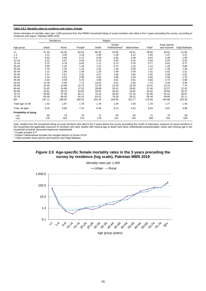#### **Table 3.8.2 Mortality rates by residence and region: Female**

Direct estimates of mortality rates (per 1,000 persons) from the PMMS household listing of usual members who died in the 3 years preceding the survey, according to residence and region, Pakistan MMS 2019

|                      |        | Residence |                     |        | Region                             |             |                    |                           |                  |
|----------------------|--------|-----------|---------------------|--------|------------------------------------|-------------|--------------------|---------------------------|------------------|
| Age group            | Urban  | Rural     | Punjab <sup>1</sup> | Sindh  | Khyber<br>Pakhtunkhwa <sup>2</sup> | Balochistan | Total <sup>3</sup> | Azad Jammu<br>and Kashmir | Gilgit Baltistan |
| $<$ 1                | 47.34  | 64.39     | 60.54               | 66.35  | 52.65                              | 45.01       | 59.00              | 44.61                     | 51.95            |
| $1 - 4$              | 2.21   | 3.28      | 3.19                | 2.99   | 2.28                               | 3.12        | 2.94               | 1.97                      | 2.21             |
| $5-9$                | 0.52   | 0.69      | 0.72                | 0.59   | 0.56                               | 0.39        | 0.63               | 0.46                      | 1.05             |
| $10 - 14$            | 0.31   | 0.67      | 0.45                | 0.76   | 0.65                               | 0.16        | 0.54               | 0.24                      | 0.42             |
| 15-19                | 0.72   | 0.79      | 0.63                | 1.11   | 0.73                               | 0.78        | 0.77               | 0.81                      | 0.72             |
| 20-24                | 0.94   | 1.20      | 1.18                | 1.21   | 0.73                               | 1.15        | 1.10               | 1.26                      | 0.94             |
| 25-29                | 0.75   | 1.34      | 1.19                | 1.01   | 1.30                               | 0.29        | 1.12               | 1.48                      | 1.35             |
| 30-34                | 1.21   | 1.69      | 1.56                | 1.26   | 1.49                               | 2.04        | 1.51               | 1.62                      | 1.21             |
| 35-39                | 2.11   | 2.67      | 2.32                | 3.27   | 1.68                               | 2.83        | 2.45               | 2.09                      | 2.02             |
| 40-44                | 2.14   | 3.63      | 2.99                | 3.02   | 3.38                               | 2.29        | 3.03               | 2.58                      | 1.74             |
| 45-49                | 4.43   | 5.08      | 5.76                | 3.89   | 3.41                               | 3.91        | 4.83               | 4.73                      | 3.99             |
| 50-54                | 11.35  | 5.48      | 7.72                | 10.52  | 5.22                               | 5.40        | 7.74               | 4.28                      | 3.36             |
| 55-59                | 15.40  | 13.68     | 15.72               | 13.30  | 12.53                              | 10.16       | 14.31              | 14.31                     | 7.74             |
| 60-64                | 31.82  | 24.89     | 27.02               | 29.89  | 25.41                              | 29.81       | 27.40              | 22.57                     | 12.92            |
| 65-69                | 44.61  | 28.19     | 34.55               | 33.61  | 34.44                              | 16.91       | 33.52              | 29.82                     | 20.37            |
| 70-74                | 69.80  | 57.30     | 60.11               | 72.32  | 55.40                              | 67.24       | 61.66              | 64.41                     | 38.87            |
| 75-79                | 64.40  | 66.00     | 64.15               | 63.51  | 78.29                              | 26.22       | 65.44              | 49.80                     | 25.11            |
| $80+$                | 197.11 | 166.56    | 168.53              | 191.44 | 193.85                             | 162.77      | 176.38             | 144.86                    | 103.26           |
| Total age 15-49      | 1.42   | 1.87      | 1.78                | 1.78   | 1.44                               | 1.50        | 1.70               | 1.77                      | 1.40             |
| Total, all ages      | 6.25   | 6.85      | 7.14                | 6.46   | 6.13                               | 4.52        | 6.63               | 6.87                      | 4.98             |
| Probability of dying |        |           |                     |        |                                    |             |                    |                           |                  |
| 35915                | 60     | 79        | 75                  | 71     | 62                                 | 64          | 71                 | 70                        | 58               |
| 45Q15                | 178    | 163       | 178                 | 176    | 141                                | 134         | 168                | 153                       | 109              |

Note: Deaths from the household listing of usual members who died in the 3 years before the survey (excluding the month of interview); exposure of usual members in the household and applicable exposure of members who died; deaths with missing age at death have been redistributed proportionately; cases with missing age in the household schedule (assumed exposure) redistributed. 1 Punjab includes ICT

2 Khyber Pakhtunkhwa includes the merged districts of former FATA

<sup>3</sup> Total excludes Azad Jammu and Kashmir and Gilgit Baltistan

#### *Figure 3.5* **Age-specific female mortality rates in the 3 years preceding the survey by residence (log scale), Pakistan MMS 2019**

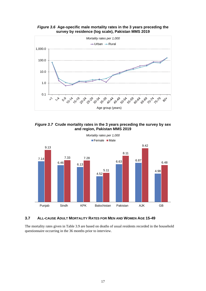*Figure 3.6* **Age-specific male mortality rates in the 3 years preceding the survey by residence (log scale), Pakistan MMS 2019** 



*Figure 3.7* **Crude mortality rates in the 3 years preceding the survey by sex and region, Pakistan MMS 2019** 



# **3.7 ALL-CAUSE ADULT MORTALITY RATES FOR MEN AND WOMEN AGE 15-49**

The mortality rates given in Table 3.9 are based on deaths of usual residents recorded in the household questionnaire occurring in the 36 months prior to interview.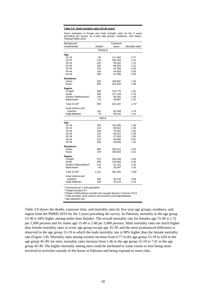#### **Table 3.9 Adult mortality rates (15-49 years)**

Direct estimates of female and male mortality rates for the 3 years preceding the survey, by 5-year age groups, residence, and region, Pakistan MMS 2019

| Background                      |               | Exposure |                              |
|---------------------------------|---------------|----------|------------------------------|
| characteristic                  | Deaths        | years    | Mortality rates <sup>1</sup> |
|                                 | <b>FEMALE</b> |          |                              |
| Age                             |               |          |                              |
| 15-19                           | 90            | 117,365  | 0.77                         |
| 20-24                           | 110           | 100,449  | 1.10                         |
| 25-29                           | 101           | 90,591   | 1.12                         |
| 30-34                           | 103           | 68,283   | 1.51                         |
| 35-39                           | 150           | 61,286   | 2.45                         |
| 40-44                           | 136           | 44,828   | 3.03                         |
| 45-49                           | 200           | 41,395   | 4.83                         |
| Residence                       |               |          |                              |
| Urban                           | 284           | 199,897  | 1.45                         |
| Rural                           | 606           | 324,300  | 1.89                         |
| Region                          |               |          |                              |
| Punjab <sup>2</sup>             | 496           | 278,770  | 1.81                         |
| Sindh                           | 208           | 117,149  | 1.79                         |
| Khyber Pakhtunkhwa <sup>3</sup> | 143           | 99,292   | 1.45                         |
| Balochistan                     | 43            | 28,987   | 1.52                         |
| Total 15-49 $4$                 | 890           | 524,197  | 1.72 <sup>a</sup>            |
| Azad Jammu and                  |               |          |                              |
| Kashmir                         | 143           | 81,048   | 1.79                         |
| Gilgit Baltistan                | 79            | 56,225   | 1.41                         |
|                                 | <b>MALE</b>   |          |                              |
| Age                             |               |          |                              |
| 15-19                           | 169           | 115,300  | 1.46                         |
| 20-24                           | 124           | 89,522   | 1.39                         |
| 25-29                           | 146           | 79,032   | 1.85                         |
| 30-34                           | 134           | 64,327   | 2.09                         |
| 35-39                           | 115           | 57,463   | 2.00                         |
| 40-44                           | 221           | 44,956   | 4.91                         |
| 45-49                           | 303           | 40,846   | 7.41                         |
| Residence                       |               |          |                              |
| Urban                           | 483           | 200,512  | 2.43                         |
| Rural                           | 729           | 290,933  | 2.51                         |
| Region                          |               |          |                              |
| Punjab <sup>2</sup>             | 670           | 255,548  | 2.64                         |
| Sindh                           | 286           | 120,069  | 2.39                         |
| Khyber Pakhtunkhwa <sup>3</sup> | 213           | 87,431   | 2.43                         |
| Balochistan                     | 43            | 28,397   | 1.50                         |
|                                 |               |          |                              |
| Total 15-49 <sup>4</sup>        | 1,212         | 491,445  | 2.48 <sup>a</sup>            |
| Azad Jammu and                  |               |          |                              |
| Kashmir                         | 185           | 60,144   | 3.06                         |
| Gilgit Baltistan                | 108           | 49,419   | 2.19                         |

1 Expressed per 1,000 population

2 Punjab includes ICT

<sup>3</sup> Khyber Pakhtunkhwa includes the merged districts of former FATA

4 Total excludes Azad Jammu and Kashmir and Gilgit Baltistan

<sup>a</sup> Age-adjusted rate

Table 3.9 shows the deaths, exposure time, and mortality rates by five-year age groups, residence, and region from the PMMS 2019 for the 3 years preceding the survey. In Pakistan, mortality in the age group 15-49 is 44% higher among males than females. The overall mortality rate for females age 15-49 is 1.72 per 1,000 persons and for males age 15-49 is 2.48 per 1,000 persons. Male mortality rates are much higher than female mortality rates in every age group except age 35-39, and the most pronounced difference is observed in the age group 15-19 in which the male mortality rate is 90% higher than the female mortality rate (Figure 3.8). Mortality rates among women increase from 0.77 in the age group 15-19 to 4.83 in the age group 45-49; for men, mortality rates increase from 1.46 in the age group 15-19 to 7.41 in the age group 45-49. The higher mortality among men could be attributed to some extent to men being more involved in activities outside of the house in Pakistan and being exposed to more risks.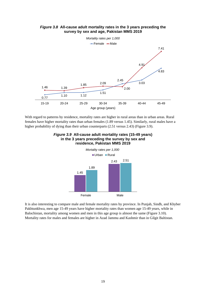

# *Figure 3.8* **All-cause adult mortality rates in the 3 years preceding the survey by sex and age, Pakistan MMS 2019**

With regard to patterns by residence, mortality rates are higher in rural areas than in urban areas. Rural females have higher mortality rates than urban females (1.89 versus 1.45). Similarly, rural males have a higher probability of dying than their urban counterparts (2.51 versus 2.43) (Figure 3.9).



*Figure 3.9* **All-cause adult mortality rates (15-49 years) in the 3 years preceding the survey by sex and** 

It is also interesting to compare male and female mortality rates by province. In Punjab, Sindh, and Khyber Pakhtunkhwa, men age 15-49 years have higher mortality rates than women age 15-49 years, while in Balochistan, mortality among women and men in this age group is almost the same (Figure 3.10). Mortality rates for males and females are higher in Azad Jammu and Kashmir than in Gilgit Baltistan.

Female Male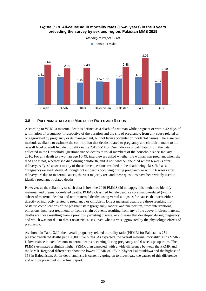

# *Figure 3.10* **All-cause adult mortality rates (15-49 years) in the 3 years preceding the survey by sex and region, Pakistan MMS 2019**

*Mortality rates per 1,000*

## **3.8 PREGNANCY-RELATED MORTALITY RATES AND RATIOS**

According to WHO, a maternal death is defined as a death of a woman while pregnant or within 42 days of termination of pregnancy, irrespective of the duration and the site of pregnancy, from any cause related to or aggravated by pregnancy or its management, but not from accidental or incidental causes. There are two methods available to estimate the contribution that deaths related to pregnancy and childbirth make to the overall level of adult female mortality in the 2019 PMMS. One indicator is calculated from the data collected in the Household Questionnaire on deaths to usual members of the household since January 2016. For any death to a woman age 15-49, interviewers asked whether the woman was pregnant when she died and if not, whether she died during childbirth, and if not, whether she died within 6 weeks after delivery. A "yes" answer to any of these three questions resulted in the death being classified as a "pregnancy-related" death. Although not all deaths occurring during pregnancy or within 6 weeks after delivery are due to maternal causes, the vast majority are, and these questions have been widely used to identify pregnancy-related deaths.

However, as the reliability of such data is low, the 2019 PMMS did not apply this method to identify maternal and pregnancy-related deaths. PMMS classified female deaths as pregnancy-related (with a subset of maternal deaths) and non-maternal deaths, using verbal autopsies for causes that were either directly or indirectly related to pregnancy or childbirth. Direct maternal deaths are those resulting from obstetric complications of the pregnant state (pregnancy, labour, and puerperium) from interventions, omissions, incorrect treatment, or from a chain of events resulting from any of the above. Indirect maternal deaths are those resulting from a previously existing disease, or a disease that developed during pregnancy and which was not due to direct obstetric causes, even when it was aggravated by the physiologic effects of pregnancy.

As shown in Table 3.10, the overall pregnancy-related mortality ratio (PRMR) for Pakistan is 251 pregnancy-related deaths per 100,000 live births. As expected, the overall maternal mortality ratio (MMR) is lower since it excludes non-maternal deaths occurring during pregnancy and 6 weeks postpartum. The PMMS estimated a slightly higher PRMR than expected, with a wide difference between the PRMR and the MMR. Regional differences show the lowest PRMR of 175 in Khyber Pakhtunkhwa and the highest of 358 in Balochistan. An in-depth analysis is currently going on to investigate the causes of this difference and will be presented in the final report.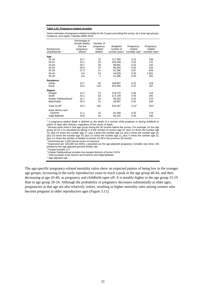#### **Table 3.10 Pregnancy-related mortality**

Direct estimates of pregnancy-related mortality for the 3 years preceding the survey, by 5-year age groups, residence, and region, Pakistan MMS 2019

|                                 | Percentage of |                     |                          |                             |                              |
|---------------------------------|---------------|---------------------|--------------------------|-----------------------------|------------------------------|
|                                 | female deaths | Number of           |                          |                             |                              |
|                                 | that are      | pregnancy-          | Weighted                 | Pregnancy-                  | Pregnancy-                   |
| Background                      | pregnancy-    | related             | number of                | related                     | related                      |
| characteristic                  | related       | deaths <sup>1</sup> | woman-years <sup>2</sup> | mortality rate <sup>3</sup> | mortality ratio <sup>4</sup> |
| Age                             |               |                     |                          |                             |                              |
| $15 - 19$                       | 16.7          | 15                  | 117,365                  | 0.13                        | 249                          |
| 20-24                           | 23.1          | 25                  | 100,449                  | 0.25                        | 131                          |
| 25-29                           | 28.7          | 29                  | 90,591                   | 0.32                        | 142                          |
| 30-34                           | 36.0          | 37                  | 68,283                   | 0.54                        | 325                          |
| 35-39                           | 27.5          | 41                  | 61,286                   | 0.67                        | 644                          |
| 40-44                           | 9.8           | 13                  | 44,828                   | 0.30                        | 1,051                        |
| 45-49                           | 0.6           | 1                   | 41,395                   | 0.03                        | 331                          |
| <b>Residence</b>                |               |                     |                          |                             |                              |
| Urban                           | 15.7          | 45                  | 199,897                  | 0.22                        | 218                          |
| Rural                           | 19.4          | 118                 | 324,300                  | 0.37                        | 267                          |
| Region                          |               |                     |                          |                             |                              |
| Punjab <sup>5</sup>             | 14.7          | 73                  | 278,770                  | 0.26                        | 219                          |
| Sindh                           | 24.1          | 50                  | 117,149                  | 0.43                        | 345                          |
| Khyber Pakhtunkhwa <sup>6</sup> | 16.7          | 24                  | 99,292                   | 0.24                        | 175                          |
| Balochistan                     | 35.4          | 15                  | 28,987                   | 0.54                        | 358                          |
| Total $15-49^7$                 | 18.2          | 162                 | 524,197                  | 0.31 <sup>a</sup>           | 251 <sup>a</sup>             |
| Azad Jammu and                  |               |                     |                          |                             |                              |
| Kashmir                         | 11.1          | 16                  | 81,048                   | 0.20                        | 179                          |
| Gilgit Baltistan                | 19.8          | 16                  | 56,225                   | 0.28                        | 196                          |

1 A pregnancy-related death is defined as the death of a woman while pregnant or during childbirth or within 42 days after delivery, regardless of the cause of death<br><sup>2</sup> Woman-years lived in that age group during the 36 months before the survey. For example, for the age

group 15-19, it is calculated by taking ½ of the number of women age 15, plus 1½ times the number age 16, plus 2½ times the number age 17, plus 3 times the number age 18, plus 3 times the number age 19, plus 2½ times the number age 20, plus 1½ times the number age 21, plus ½ times the number age 22, plus 1½ times the number of deaths to women 15-49 in the previous 36 months.<br><sup>3</sup> Expressed per 1,000 woman-years of exposure

4 Expressed per 100,000 live births; calculated as the age-adjusted pregnancy mortality rate times 100 divided by the age-adjusted general fertility rate

5 Punjab includes ICT

6 Khyber Pakhtunkhwa includes the merged districts of former FATA

7 Total excludes Azad Jammu and Kashmir and Gilgit Baltistan

a Age-adjusted rate

The age-specific pregnancy-related mortality ratios show an expected pattern of being low in the younger age groups, increasing in the early reproductive years to reach a peak in the age group 40-44, and then decreasing at age 45-49, as pregnancy and childbirth taper off. It is notably higher in the age group 15-19 than in age group 20-24. Although the probability of pregnancy decreases substantially at older ages, pregnancies at that age are also relatively riskier, resulting in higher mortality rates among women who become pregnant in older reproductive ages (Figure 3.11).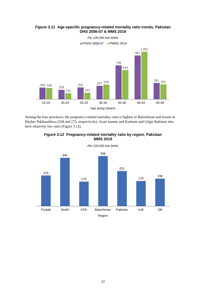



Among the four provinces, the pregnancy-related mortality ratio is highest in Balochistan and lowest in Khyber Pakhtunkhwa (358 and 175, respectively). Azad Jammu and Kashmir and Gilgit Baltistan also have relatively low rates (Figure 3.12).



**MMS 2019** 

*Figure 3.12* **Pregnancy-related mortality ratio by region, Pakistan**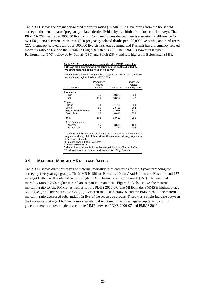Table 3.11 shows the pregnancy-related mortality ratios (PRMR) using live births from the household survey in the denominator (pregnancy-related deaths divided by live births from household survey). The PRMR is 255 deaths per 100,000 live births. Compared by residence, there is a substantial difference (of over 50 points) between urban areas (220 pregnancy-related deaths per 100,000 live births) and rural areas (272 pregnancy-related deaths per 100,000 live births). Azad Jammu and Kashmir has a pregnancy-related mortality ratio of 188 and the PRMR in Gilgit Baltistan is 202. The PRMR is lowest in Khyber Pakhtunkhwa (170), followed by Punjab (230) and Sindh (364), and it is highest in Balochistan (383).

| Table 3.11 Pregnancy-related mortality ratio (PRMR) using live |
|----------------------------------------------------------------|
| births as the denominator (pregnancy-related deaths divided by |
| live births reported in the household survey)                  |

Pregnancy-related mortality ratio for the 3 years preceding the survey, by residence and region, Pakistan MMS 2019

| Pregnancy-                     |             |                                                       |
|--------------------------------|-------------|-------------------------------------------------------|
| related<br>deaths <sup>1</sup> | Live births | Pregnancy-<br>related<br>mortality ratio <sup>2</sup> |
|                                |             |                                                       |
| 45                             | 20,333      | 220                                                   |
| 118                            | 43.290      | 272                                                   |
|                                |             |                                                       |
| 73                             | 31,753      | 230                                                   |
| 50                             | 13,786      | 364                                                   |
| 24                             | 14.075      | 170                                                   |
| 15                             | 4.010       | 383                                                   |
| 162                            | 63,623      | 255                                                   |
|                                |             |                                                       |
| 16                             | 8,501       | 188                                                   |
| 16                             | 7.712       | 202                                                   |
|                                |             |                                                       |

 $1$  A pregnancy-related death is defined as the death of a woman while pregnant or during childbirth or within 42 days after delivery, regardless of the cause of death

2 Expressed per 100,000 live births

<sup>3</sup> Punjab includes ICT

4 Khyber Pakhtunkhwa includes the merged districts of former FATA

5 Total excludes Azad Jammu and Kashmir and Gilgit Baltistan

#### **3.9 MATERNAL MORTALITY RATES AND RATIOS**

Table 3.12 shows direct estimates of maternal mortality rates and ratios for the 3 years preceding the survey by five-year age groups. The MMR is 186 for Pakistan, 104 in Azad Jammu and Kashmir, and 157 in Gilgit Baltistan. It is almost twice as high in Balochistan (298) as in Punjab (157). The maternal mortality ratio is 26% higher in rural areas than in urban areas. Figure 3.13 also shows the maternal mortality ratio for the PMMS, as well as for the PDHS 2006-07. The MMR in the PMMS is highest at age 35-39 (481) and lowest at age 20-24 (99). Between the PDHS 2006-07 and the PMMS 2019, the maternal mortality ratio decreased substantially in five of the seven age groups. There was a slight increase between the two surveys at age 30-34 and a more substantial increase in the oldest age group (age 45-49). In general, there is an overall decrease in the MMR between PDHS 2006-07 and PMMS 2019.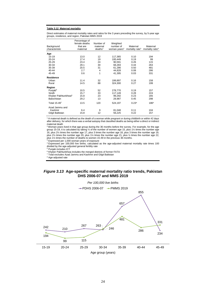#### **Table 3.12 Maternal mortality**

Direct estimates of maternal mortality rates and ratios for the 3 years preceding the survey, by 5-year age groups, residence, and region, Pakistan MMS 2019

|                                 | Percentage of<br>female deaths | Number of           | Weighted                 |                             |                              |
|---------------------------------|--------------------------------|---------------------|--------------------------|-----------------------------|------------------------------|
| Background                      | that are                       | maternal            | number of                | Maternal                    | Maternal                     |
| characteristic                  | maternal                       | deaths <sup>1</sup> | woman-years <sup>2</sup> | mortality rate <sup>3</sup> | mortality ratio <sup>4</sup> |
| Age                             |                                |                     |                          |                             |                              |
| 15-19                           | 13.0                           | 12                  | 117,365                  | 0.10                        | 194                          |
| $20 - 24$                       | 17.4                           | 19                  | 100.449                  | 0.19                        | 99                           |
| 25-29                           | 23.4                           | 24                  | 90,591                   | 0.26                        | 115                          |
| 30-34                           | 29.1                           | 30                  | 68,283                   | 0.44                        | 263                          |
| 35-39                           | 20.5                           | 31                  | 61,286                   | 0.50                        | 481                          |
| 40-44                           | 2.7                            | 4                   | 44,828                   | 0.08                        | 286                          |
| 45-49                           | 0.6                            | 1                   | 41,395                   | 0.03                        | 331                          |
| <b>Residence</b>                |                                |                     |                          |                             |                              |
| Urban                           | 11.4                           | 32                  | 199,897                  | 0.16                        | 158                          |
| Rural                           | 14.5                           | 88                  | 324,300                  | 0.27                        | 199                          |
| Region                          |                                |                     |                          |                             |                              |
| Punjab <sup>5</sup>             | 10.5                           | 52                  | 278,770                  | 0.19                        | 157                          |
| Sindh                           | 15.7                           | 33                  | 117,149                  | 0.28                        | 224                          |
| Khyber Pakhtunkhwa <sup>6</sup> | 15.8                           | 23                  | 99,292                   | 0.23                        | 165                          |
| Balochistan                     | 29.2                           | 13                  | 28,987                   | 0.45                        | 298                          |
| Total 15-497                    | 13.5                           | 120                 | 524,197                  | $0.23^{a}$                  | 186 <sup>a</sup>             |
| Azad Jammu and                  |                                |                     |                          |                             |                              |
| Kashmir                         | 6.4                            | 9                   | 81,048                   | 0.11                        | 104                          |
| Gilgit Baltistan                | 15.8                           | 12                  | 56,225                   | 0.22                        | 157                          |

1 A maternal death is defined as the death of a woman while pregnant or during childbirth or within 42 days after delivery, for which there was a verbal autopsy that classified deaths as being either a direct or indirect maternal death

2 Woman-years lived in that age group during the 36 months before the survey. For example, for the age group 15-19, it is calculated by taking ½ of the number of women age 15, plus 1½ times the number age 16, plus 2½ times the number age 17, plus 3 times the number age 18, plus 3 times the number age 19, plus 2½ times the number age 20, plus 1½ times the number age 21, plus ½ times the number age 22, plus 1½ times the number of deaths to women 15-49 in the previous 36 months.<br><sup>3</sup> Expressed per 1,000 woman-years of exposure

4 Expressed per 100,000 live births; calculated as the age-adjusted maternal mortality rate times 100 divided by the age-adjusted general fertility rate

<sup>5</sup> Punjab includes ICT

 $^6$  Khyber Pakhtunkhwa includes the merged districts of former FATA<br><sup>7</sup> Total excludes Azad Jammu and Kashmir and Gilgit Baltistan

a Age-adjusted rate



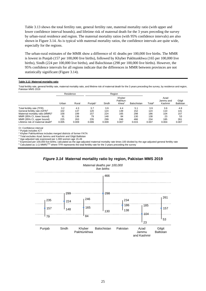Table 3.13 shows the total fertility rate, general fertility rate, maternal mortality ratio (with upper and lower confidence interval bounds), and lifetime risk of maternal death for the 3 years preceding the survey by urban-rural residence and region. The maternal mortality ratios (with 95% confidence intervals) are also shown in Figure 3.14. As is typical with maternal mortality ratios, the confidence intervals are quite wide, especially for the regions.

The urban-rural estimates of the MMR show a difference of 41 deaths per 100,000 live births. The MMR is lowest in Punjab (157 per 100,000 live births), followed by Khyber Pakhtunkhwa (165 per 100,000 live births), Sindh (224 per 100,000 live births), and Balochistan (298 per 100,000 live births). However, the 95% confidence intervals for all regions indicate that the differences in MMR between provinces are not statistically significant (Figure 3.14).

#### **Table 3.13 Maternal mortality ratio**

Total fertility rate, general fertility rate, maternal mortality ratio, and lifetime risk of maternal death for the 3 years preceding the survey, by residence and region, Pakistan MMS 2019

|                                              | Residence |       | Region              |       |                                         |             |                    |                              |                            |  |  |
|----------------------------------------------|-----------|-------|---------------------|-------|-----------------------------------------|-------------|--------------------|------------------------------|----------------------------|--|--|
|                                              | Urban     | Rural | Puniab <sup>1</sup> | Sindh | Khyber<br>Pakhtun-<br>khwa <sup>2</sup> | Balochistan | Total <sup>3</sup> | Azad<br>Jammu and<br>Kashmir | Gilgit<br><b>Baltistan</b> |  |  |
| Total fertility rate (TFR)                   | 3.2       | 4.3   | 3.7                 | 3.9   | 4.4                                     | 5.1         | 3.9                | 3.6                          | 4.8                        |  |  |
| General fertility rate (GFR) <sup>4</sup>    | 102       | 137   | 120                 | 124   | 139                                     | 152         | 124                | 110                          | 141                        |  |  |
| Maternal mortality ratio (MMR) <sup>5</sup>  | 158       | 199   | 157                 | 224   | 165                                     | 298         | 186                | 104                          | 157                        |  |  |
| MMR (95% CI, lower bound)                    | 91        | 136   | 79                  | 148   | 84                                      | 130         | 138                | 23                           | 53                         |  |  |
| MMR (95% CI, upper bound)                    | 225       | 263   | 235                 | 299   | 246                                     | 466         | 234                | 185                          | 261                        |  |  |
| Lifetime risk of maternal death <sup>6</sup> | 0.005     | 0.009 | 0.006               | 0.009 | 0.007                                   | 0.015       | 0.007              | 0.004                        | 0.007                      |  |  |

CI: Confidence interval

1 Punjab includes ICT

2 Khyber Pakhtunkhwa includes merged districts of former FATA 3

<sup>3</sup> Total excludes Azad Jammu and Kashmir and Gilgit Baltistan

<sup>4</sup> Age-adjusted rate expressed per 1,000 women age 15-49<br><sup>5</sup> Expressed per 100,000 live births; calculated as the age-adjusted maternal mortality rate times 100 divided by the age-adjusted general fertility rate

<sup>6</sup> Calculated as 1-(1-MMR)<sup>TFR</sup> where TFR represents the total fertility rate for the 3 years preceding the survey



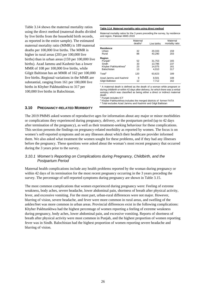Table 3.14 shows the maternal mortality ratios using the direct method (maternal deaths divided by live births from the household birth records, as reported in the entire sample). The estimated maternal mortality ratio (MMR) is 189 maternal deaths per 100,000 live births. The MMR is higher in rural areas (203 per 100,000 live births) than in urban areas (159 per 100,000 live births). Azad Jammu and Kashmir has a lower MMR of 108 per 100,000 live births, while Gilgit Baltistan has an MMR of 162 per 100,000 live births. Regional variations in the MMR are substantial, ranging from 161 per 100,000 live births in Khyber Pakhtunkhwa to 317 per 100,000 live births in Balochistan.

#### **Table 3.14 Maternal mortality ratio using direct method**

Maternal mortality ratios for the 3 years preceding the survey, by residence and region, Pakistan MMS 2019

|                                 | Maternal<br>deaths <sup>1</sup> | Live births | Maternal<br>mortality ratio |
|---------------------------------|---------------------------------|-------------|-----------------------------|
| <b>Residence</b>                |                                 |             |                             |
| Urban                           | 32                              | 20,333      | 159                         |
| Rural                           | 88                              | 43,290      | 203                         |
| Region                          |                                 |             |                             |
| Punjab <sup>2</sup>             | 52                              | 31,753      | 165                         |
| Sindh                           | 33                              | 13,786      | 237                         |
| Khyber Pakhtunkhwa <sup>3</sup> | 23                              | 14,075      | 161                         |
| Balochistan                     | 13                              | 4.010       | 317                         |
| Total <sup>4</sup>              | 120                             | 63,623      | 189                         |
| Azad Jammu and Kashmir          | 9                               | 8,501       | 108                         |
| Gilgit Baltistan                | 12                              | 7.712       | 162                         |

 $<sup>1</sup>$  A maternal death is defined as the death of a woman while pregnant or</sup> during childbirth or within 42 days after delivery, for which there was a verbal autopsy which was classified as being either a direct or indirect maternal death

2 Punjab includes ICT

3 Khyber Pakhtunkhwa includes the merged districts of former FATA 4 Total excludes Azad Jammu and Kashmir and Gilgit Baltistan

# **3.10 PREGNANCY-RELATED MORBIDITY**

The 2019 PMMS asked women of reproductive ages for information about any major or minor morbidities or complications they experienced during pregnancy, delivery, or the postpartum period (up to 42 days after termination of the pregnancy), as well as their treatment-seeking behaviour for these complications. This section presents the findings on pregnancy-related morbidity as reported by women. The focus is on women's self-reported symptoms and on any illnesses about which their healthcare provider informed them. We also asked what treatment the women sought for these problems, and if they had any illnesses before the pregnancy. These questions were asked about the woman's most recent pregnancy that occurred during the 3 years prior to the survey.

## *3.10.1 Women's Reporting on Complications during Pregnancy, Childbirth, and the Postpartum Period*

Maternal health complications include any health problems reported by the woman during pregnancy or within 42 days of its termination for the most recent pregnancy occurring in the 3 years preceding the survey. The percentage of self-reported symptoms during pregnancy are shown in Table 3.15.

The most common complications that women experienced during pregnancy were: Feeling of extreme weakness, body aches, severe headache, lower abdominal pain, shortness of breath after physical activity, fever, and excessive vomiting. For the most part, urban-rural differences were not major. However, blurring of vision, severe headache, and fever were more common in rural areas, and swelling of the ankles/feet was more common in urban areas. Provincial differences exist in the following complications: Khyber Pakhtunkhwa had the highest percentage of women reporting a feeling of extreme weakness during pregnancy, body aches, lower abdominal pain, and excessive vomiting. Reports of shortness of breath after physical activity were most common in Punjab, and the highest proportion of women reporting fever was in Sindh. Balochistan had the highest proportion of women reporting severe headache and blurring of vision.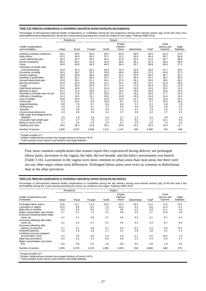#### **Table 3.15 Maternal complications or morbidities reported by women during the last pregnancy**

Percentage of self-reported maternal health complications or morbidities during the last pregnancy among ever-married women age 15-49 who had a live<br>birth/stillbirth/miscarriage/abortion during the 3-year period preceding

|                                                |       | Residence |                     |       | Region                                  |             |                    |                              |                            |
|------------------------------------------------|-------|-----------|---------------------|-------|-----------------------------------------|-------------|--------------------|------------------------------|----------------------------|
| <b>Health complications</b><br>and morbidities | Urban | Rural     | Punjab <sup>1</sup> | Sindh | Khyber<br>Pakhtun-<br>khwa <sup>2</sup> | Balochistan | Total <sup>3</sup> | Azad<br>Jammu and<br>Kashmir | Gilgit<br><b>Baltistan</b> |
| Feeling of extreme weakness                    | 56.1  | 59.0      | 56.9                | 55.4  | 62.9                                    | 59.9        | 58.0               | 61.0                         | 47.6                       |
| Body aches                                     | 47.5  | 42.9      | 45.1                | 37.1  | 51.3                                    | 40.6        | 44.4               | 59.7                         | 56.8                       |
| Lower abdominal pain                           | 39.2  | 42.7      | 39.7                | 40.1  | 47.8                                    | 40.4        | 41.5               | 45.7                         | 58.8                       |
| Severe headache                                | 36.2  | 44.2      | 41.8                | 41.8  | 39.5                                    | 45.1        | 41.5               | 44.4                         | 45.8                       |
| Fever                                          | 34.6  | 40.9      | 36.2                | 46.3  | 38.0                                    | 35.7        | 38.8               | 39.0                         | 27.0                       |
| Shortness of breath after                      |       |           |                     |       |                                         |             |                    |                              |                            |
| exercise/working                               | 41.9  | 37.3      | 43.1                | 34.8  | 34.4                                    | 31.9        | 38.8               | 41.7                         | 34.4                       |
| Excessive vomiting                             | 34.5  | 38.2      | 33.2                | 33.9  | 48.8                                    | 39.8        | 37.0               | 44.0                         | 37.3                       |
| Severe anaemia                                 | 29.8  | 34.6      | 36.4                | 29.0  | 31.1                                    | 23.5        | 33.0               | 36.7                         | 25.7                       |
| Swelling of ankles/feet                        | 38.3  | 32.1      | 36.5                | 32.1  | 31.7                                    | 29.4        | 34.1               | 39.7                         | 20.0                       |
| General abdominal pain                         | 23.6  | 28.1      | 22.1                | 24.4  | 37.6                                    | 36.1        | 26.6               | 39.5                         | 40.2                       |
| Burning micturition                            | 22.6  | 23.3      | 23.9                | 21.1  | 24.1                                    | 19.3        | 23.1               | 41.6                         | 29.5                       |
| Cough                                          | 21.2  | 20.0      | 20.4                | 27.2  | 14.0                                    | 17.8        | 20.4               | 25.2                         | 11.9                       |
| High blood pressure                            | 20.6  | 18.6      | 22.1                | 15.4  | 16.5                                    | 18.9        | 19.3               | 28.2                         | 11.0                       |
| Blurring of vision                             | 13.7  | 21.4      | 16.6                | 21.7  | 19.4                                    | 25.6        | 18.8               | 16.6                         | 13.5                       |
| Shortness of breath even at rest               | 14.9  | 17.8      | 16.7                | 18.9  | 15.1                                    | 16.5        | 16.8               | 17.7                         | 15.4                       |
| Difficulty in breathing                        | 14.3  | 14.5      | 12.1                | 20.0  | 13.8                                    | 16.0        | 14.4               | 14.4                         | 12.0                       |
| Loss of weight                                 | 10.6  | 10.5      | 8.1                 | 12.8  | 13.5                                    | 12.7        | 10.5               | 10.6                         | 15.4                       |
| Chest pain                                     | 8.3   | 10.4      | 9.4                 | 10.9  | 8.7                                     | 11.3        | 9.7                | 10.9                         | 16.0                       |
| Vaginal bleeding                               | 8.8   | 7.8       | 8.7                 | 8.0   | 8.0                                     | 3.7         | 8.1                | 6.8                          | 7.8                        |
| Fits/seizures                                  | 0.5   | 1.0       | 0.7                 | 1.4   | 0.5                                     | 0.6         | 0.8                | 0.6                          | 0.3                        |
| Jaundice                                       | 3.0   | 2.8       | 3.0                 | 3.5   | 1.4                                     | 4.3         | 2.8                | 2.0                          | 2.5                        |
| Unconsciousness/coma                           | 1.9   | 3.8       | 3.3                 | 3.4   | 2.7                                     | 2.8         | 3.2                | 3.7                          | 2.4                        |
| High sugar level diagnosed as<br>diabetes      | 2.6   | 1.8       | 1.9                 | 2.3   | 2.1                                     | 2.2         | 2.0                | 3.9                          | 1.9                        |
| Unusually high weight gain                     | 9.7   | 5.7       | 7.9                 | 5.7   | 6.1                                     | 8.2         | 7.1                | 12.1                         | 5.6                        |
| Blood or pus in urine                          | 2.7   | 3.4       | 2.5                 | 1.6   | 6.7                                     | 2.9         | 3.2                | 7.0                          | 5.0                        |
| Swelling over face                             | 20.6  | 20.4      | 21.8                | 20.1  | 16.8                                    | 23.2        | 20.4               | 24.0                         | 11.7                       |
| Number of women                                | 1,826 | 3,674     | 2,836               | 1,212 | 1,147                                   | 305         | 5,500              | 743                          | 640                        |

1 Punjab includes ICT

<sup>2</sup> Khyber Pakhtunkhwa includes the merged districts of former FATA<br><sup>3</sup> Total excludes Azad Jammu and Kashmir and Gilgit Baltistan

Four most common complications that women report they experienced during delivery are prolonged labour pains, laceration in the vagina, the baby did not breathe, and the baby's presentation was breech (Table 3.16). Lacerations in the vagina were more common in urban areas than rural areas, but there were not any other major urban-rural differences. Prolonged labour pains were twice as common in Balochistan than in the other provinces.

#### **Table 3.16 Maternal complications or morbidities reported by women during the last delivery**

Percentage of self-reported maternal health complications or morbidities during the last delivery among ever-married women age 15-49 who had a live birth/stillbirth during the 3-year period preceding the survey, by residence and region, Pakistan MMS 2019

|                                         |       | Residence |                     |       | Region                                  |             |                    |                              |                            |
|-----------------------------------------|-------|-----------|---------------------|-------|-----------------------------------------|-------------|--------------------|------------------------------|----------------------------|
| Health complications and<br>morbidities | Urban | Rural     | Punjab <sup>1</sup> | Sindh | Khyber<br>Pakhtun-<br>khwa <sup>2</sup> | Balochistan | Total <sup>3</sup> | Azad<br>Jammu and<br>Kashmir | Gilgit<br><b>Baltistan</b> |
| Prolonged labour pains                  | 10.5  | 12.1      | 11.4                | 10.3  | 10.3                                    | 23.2        | 11.6               | 17.5                         | 13.3                       |
| Laceration in vagina                    | 12.9  | 6.8       | 9.3                 | 7.5   | 10.3                                    | 4.2         | 8.8                | 11.5                         | 8.3                        |
| Baby did not breathe                    | 6.0   | 5.6       | 6.5                 | 7.0   | 3.6                                     | 2.2         | 5.8                | 11.1                         | 2.0                        |
| Baby's presentation was breech          | 5.7   | 5.7       | 7.4                 | 4.1   | 3.9                                     | 4.0         | 5.7                | 11.9                         | 4.6                        |
| Excessive bleeding before baby          |       |           |                     |       |                                         |             |                    |                              |                            |
| came out                                | 4.1   | 4.1       | 3.9                 | 4.7   | 3.6                                     | 5.4         | 4.1                | 8.7                          | 4.4                        |
| Excessive bleeding after baby           |       |           |                     |       |                                         |             |                    |                              |                            |
| came out                                | 3.2   | 3.3       | 2.7                 | 4.2   | 2.9                                     | 6.2         | 3.3                | 8.7                          | 8.0                        |
| Excessive bleeding after                |       |           |                     |       |                                         |             |                    |                              |                            |
| delivery of placenta                    | 4.7   | 4.1       | 3.8                 | 5.7   | 3.5                                     | 6.2         | 4.3                | 8.3                          | 12.5                       |
| Retained placenta                       | 1.9   | 1.8       | 1.8                 | 1.7   | 2.2                                     | 0.8         | 1.8                | 4.1                          | 1.4                        |
| Umbilical cord was wrapped              |       |           |                     |       |                                         |             |                    |                              |                            |
| around baby's neck                      | 4.4   | 4.6       | 4.8                 | 5.3   | 2.9                                     | 4.7         | 4.5                | 10.2                         | 1.5                        |
| Baby was premature                      | 5.0   | 4.2       | 4.4                 | 6.5   | 2.9                                     | 2.2         | 4.4                | 9.5                          | 4.7                        |
| Baby's presentation was hand            |       |           |                     |       |                                         |             |                    |                              |                            |
| first                                   | 0.9   | 0.8       | 0.5                 | 1.6   | 0.9                                     | 0.4         | 0.8                | 1.8                          | 0.3                        |
| Number of women                         | 1,593 | 3,276     | 2,470               | 1,095 | 1,020                                   | 284         | 4,869              | 660                          | 575                        |

1 Punjab includes ICT

<sup>2</sup> Khyber Pakhtunkhwa includes the merged districts of former FATA<br><sup>3</sup> Total excludes Azad Jammu and Kashmir and Gilgit Baltistan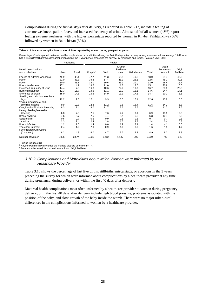Complications during the first 40 days after delivery, as reported in Table 3.17, include a feeling of extreme weakness, pallor, fever, and increased frequency of urine. Almost half of all women (48%) report feeling extreme weakness, with the highest percentage reported by women in Khyber Pakhtunkhwa (56%), followed by women in Balochistan (50%).

#### **Table 3.17 Maternal complications or morbidities reported by women during postpartum period**

Percentage of self-reported maternal health complications or morbidities during the first 40 days after delivery among ever-married women age 15-49 who had a live birth/stillbirth/miscarriage/abortion during the 3-year period preceding the survey, by residence and region, Pakistan MMS 2019

|                                                                |       | Residence |                     |       | Region                                  |             |                    |                              |                            |
|----------------------------------------------------------------|-------|-----------|---------------------|-------|-----------------------------------------|-------------|--------------------|------------------------------|----------------------------|
| Health complications<br>and morbidities                        | Urban | Rural     | Punjab <sup>1</sup> | Sindh | Khyber<br>Pakhtun-<br>khwa <sup>2</sup> | Balochistan | Total <sup>3</sup> | Azad<br>Jammu and<br>Kashmir | Gilgit<br><b>Baltistan</b> |
| Feeling of extreme weakness                                    | 45.9  | 49.1      | 47.7                | 41.3  | 55.5                                    | 49.6        | 48.0               | 54.7                         | 40.0                       |
| Pallor                                                         | 31.0  | 33.3      | 34.3                | 17.4  | 45.3                                    | 28.1        | 32.5               | 45.3                         | 39.6                       |
| Fever                                                          | 30.0  | 33.1      | 32.0                | 39.6  | 25.1                                    | 29.0        | 32.0               | 28.4                         | 15.7                       |
| <b>Breast tenderness</b>                                       | 17.1  | 14.1      | 18.5                | 11.0  | 11.8                                    | 12.5        | 15.1               | 20.9                         | 18.6                       |
| Increased frequency of urine                                   | 14.4  | 17.9      | 16.8                | 10.6  | 22.4                                    | 19.7        | 16.7               | 23.8                         | 20.2                       |
| Burning micturition                                            | 12.3  | 15.7      | 14.6                | 11.1  | 18.0                                    | 15.1        | 14.6               | 24.4                         | 14.1                       |
| Shortness of breath                                            | 15.0  | 14.5      | 15.6                | 14.9  | 11.3                                    | 17.6        | 14.7               | 20.1                         | 5.6                        |
| Swelling and pain in one or both<br>legs                       | 12.2  | 12.8      | 12.1                | 9.3   | 18.0                                    | 10.1        | 12.6               | 13.8                         | 5.5                        |
| Vaginal discharge of foul-                                     |       |           |                     |       |                                         |             |                    |                              |                            |
| smelling material                                              | 9.9   | 12.3      | 12.8                | 11.2  | 7.5                                     | 16.4        | 11.5               | 14.2                         | 5.8                        |
| Cough with difficulty in breathing<br>Heavy bleeding/excessive | 8.3   | 7.4       | 8.0                 | 11.7  | 3.2                                     | 5.5         | 7.7                | 11.3                         | 2.6                        |
| bleeding                                                       | 6.8   | 7.0       | 7.5                 | 7.6   | 4.2                                     | 9.1         | 6.9                | 13.8                         | 17.5                       |
| Breast swelling                                                | 7.6   | 5.7       | 7.5                 | 4.4   | 5.4                                     | 6.6         | 6.3                | 12.4                         | 5.6                        |
| Seizures/fits                                                  | 0.6   | 0.7       | 0.6                 | 0.9   | 0.5                                     | 0.8         | 0.7                | 0.7                          | 0.3                        |
| Jaundice                                                       | 2.3   | 2.4       | 2.4                 | 2.8   | 1.5                                     | 3.7         | 2.4                | 0.4                          | 0.8                        |
| <b>Breast infection</b>                                        | 1.2   | 1.5       | 1.4                 | 0.6   | 1.9                                     | 2.4         | 1.4                | 4.1                          | 0.6                        |
| Tear/ulcer in breast<br>Fever related with wound               | 2.4   | 1.2       | 2.0                 | 0.9   | 1.4                                     | 0.9         | 1.6                | 1.9                          | 1.7                        |
| (C-section)                                                    | 6.2   | 4.3       | 6.0                 | 4.7   | 3.2                                     | 2.3         | 4.9                | 8.3                          | 2.8                        |
| Number of women                                                | 1,826 | 3,674     | 2,836               | 1,212 | 1,147                                   | 305         | 5,500              | 743                          | 640                        |

1 Punjab includes ICT

<sup>2</sup> Khyber Pakhtunkhwa includes the merged districts of former FATA<br><sup>3</sup> Total excludes Azad Jammu and Kashmir and Gilgit Baltistan

#### *3.10.2 Complications and Morbidities about which Women were Informed by their Healthcare Provider*

Table 3.18 shows the percentage of last live births, stillbirths, miscarriage, or abortions in the 3 years preceding the survey for which were informed about complications by a healthcare provider at any time during pregnancy, during delivery, or within the first 40 days after delivery.

Maternal health complications most often informed by a healthcare provider to women during pregnancy, delivery, or in the first 40 days after delivery include high blood pressure, problems associated with the position of the baby, and slow growth of the baby inside the womb. There were no major urban-rural differences in the complications informed to women by a healthcare provider.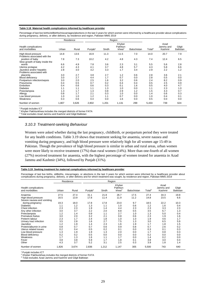#### **Table 3.18 Maternal health complications informed by healthcare provider**

Percentage of last live births/stillbirths/miscarriages/abortions in the last 3 years for which women were informed by a healthcare provider about complications during pregnancy, delivery, or after delivery, by residence and region, Pakistan MMS 2019

|                                         | Residence |       |                     |       | Region                                  |             |                    |                              |                            |
|-----------------------------------------|-----------|-------|---------------------|-------|-----------------------------------------|-------------|--------------------|------------------------------|----------------------------|
| Health complications<br>and morbidities | Urban     | Rural | Punjab <sup>1</sup> | Sindh | Khyber<br>Pakhtun-<br>khwa <sup>2</sup> | Balochistan | Total <sup>3</sup> | Azad<br>Jammu and<br>Kashmir | Gilgit<br><b>Baltistan</b> |
| High blood pressure                     | 14.8      | 13.6  | 16.9                | 11.3  | 11.5                                    | 7.0         | 14.0               | 20.7                         | 7.9                        |
| Problems associated with the            |           |       |                     |       |                                         |             |                    |                              |                            |
| position of baby                        | 7.8       | 7.3   | 10.2                | 4.2   | 4.8                                     | 4.3         | 7.4                | 12.4                         | 6.5                        |
| Slow growth of baby inside the          |           |       |                     |       |                                         |             |                    |                              |                            |
| womb                                    | 6.6       | 4.9   | 7.8                 | 3.6   | 2.3                                     | 3.1         | 5.5                | 5.6                          | 2.8                        |
| Uterine prolapse                        | 4.2       | 4.3   | 4.1                 | 3.7   | 4.8                                     | 5.7         | 4.3                | 5.8                          | 6.6                        |
| Jaundice and/or hepatitis               | 2.8       | 3.0   | 3.2                 | 3.3   | 1.7                                     | 3.4         | 2.9                | 2.2                          | 1.2                        |
| Problems associated with                |           |       |                     |       |                                         |             |                    |                              |                            |
| placenta                                | 3.0       | 2.7   | 3.8                 | 2.7   | 1.2                                     | 0.6         | 2.8                | 3.6                          | 2.1                        |
| Blood deficiency                        | 3.0       | 2.7   | 4.4                 | 1.7   | 0.7                                     | 0.0         | 2.8                | 0.5                          | 0.0                        |
| Postpartum infection/sepsis             | 3.0       | 2.0   | 2.5                 | 1.6   | 3.2                                     | 0.6         | 2.4                | 8.2                          | 0.9                        |
| Pneumonia                               | 0.4       | 0.5   | 0.7                 | 0.2   | 0.4                                     | 0.4         | 0.5                | 2.5                          | 0.9                        |
| Embolism                                | 0.4       | 0.6   | 0.6                 | 0.3   | 0.1                                     | 1.6         | 0.5                | 4.0                          | 4.7                        |
| <b>Diabetes</b>                         | 1.1       | 1.1   | 1.1                 | 1.3   | 1.0                                     | 0.0         | 1.1                | 2.3                          | 1.0                        |
| Preeclampsia                            | 1.3       | 1.7   | 1.3                 | 0.8   | 2.9                                     | 1.2         | 1.5                | 4.3                          | 0.7                        |
| Allergy                                 | 0.8       | 1.7   | 2.1                 | 0.3   | 1.0                                     | 0.0         | 1.4                | 0.6                          | 0.3                        |
| Low blood pressure                      | 1.0       | 1.0   | 1.2                 | 1.1   | 0.7                                     | 0.0         | 1.0                | 0.4                          | 0.1                        |
| Weakness                                | 0.3       | 0.6   | 0.4                 | 0.0   | 1.6                                     | 0.0         | 0.5                | 0.0                          | 0.0                        |
| Number of women                         | 1,807     | 3,626 | 2,802               | 1,201 | 1,131                                   | 299         | 5,433              | 739                          | 624                        |

1 Punjab includes ICT

2 Khyber Pakhtunkhwa includes the merged districts of former FATA

<sup>3</sup> Total excludes Azad Jammu and Kashmir and Gilgit Baltistan

#### *3.10.3 Treatment-seeking Behaviour*

Women were asked whether during the last pregnancy, childbirth, or postpartum period they were treated for any health conditions. Table 3.19 shows that treatment seeking for anaemia, severe nausea and vomiting during pregnancy, and high blood pressure were relatively high for all women age 15-49 in Pakistan. Though the prevalence of high blood pressure is similar in urban and rural areas, urban women were more likely to receive treatment (17%) than rural women (14%). More than one-fourth of all women (27%) received treatment for anaemia, with the highest percentage of women treated for anaemia in Azad Jammu and Kashmir (34%), followed by Punjab (31%).

#### **Table 3.19 Seeking treatment for maternal complications informed by healthcare provider**

Percentage of last live births, stillbirths, miscarriages, or abortions in the last 3 years for which women were informed by a healthcare provider about complications during pregnancy, delivery, or after delivery and for which treatment was sought, by residence and region, Pakistan MMS 2019

|                                         |       | Residence |                     |       | Region                                  |             |                    |                              |                            |
|-----------------------------------------|-------|-----------|---------------------|-------|-----------------------------------------|-------------|--------------------|------------------------------|----------------------------|
| Health complications<br>and morbidities | Urban | Rural     | Punjab <sup>1</sup> | Sindh | Khyber<br>Pakhtun-<br>khwa <sup>2</sup> | Balochistan | Total <sup>3</sup> | Azad<br>Jammu and<br>Kashmir | Gilgit<br><b>Baltistan</b> |
| Anaemia                                 | 27.5  | 27.4      | 31.1                | 21.8  | 26.7                                    | 17.5        | 27.4               | 34.3                         | 19.8                       |
| High blood pressure                     | 16.5  | 13.9      | 17.8                | 11.4  | 11.9                                    | 11.2        | 14.8               | 23.5                         | 6.6                        |
| Severe nausea and vomiting              |       |           |                     |       |                                         |             |                    |                              |                            |
| during pregnancy                        | 19.3  | 18.0      | 17.8                | 17.8  | 23.0                                    | 9.7         | 18.5               | 22.2                         | 10.3                       |
| <b>Diabetes</b>                         | 1.1   | 1.2       | 1.3                 | 1.1   | 1.0                                     | 0.6         | 1.2                | 1.6                          | 0.4                        |
| Chest infection                         | 2.3   | 2.3       | 1.9                 | 1.4   | 4.4                                     | 2.3         | 2.3                | 3.3                          | 2.3                        |
| Any other infection                     | 3.0   | 3.7       | 2.2                 | 2.0   | 8.8                                     | 0.5         | 3.5                | 6.7                          | 1.3                        |
| Preeclampsia                            | 1.2   | 1.4       | 0.9                 | 1.1   | 2.7                                     | 1.0         | 1.3                | 5.0                          | 0.4                        |
| Premature foetus                        | 3.0   | 2.0       | 3.2                 | 2.1   | 0.8                                     | 0.6         | 2.3                | 1.9                          | 1.6                        |
| Preterm labour                          | 2.3   | 1.7       | 2.4                 | 1.8   | 1.0                                     | 1.0         | 1.9                | 4.6                          | 1.7                        |
| Urinary tract infection                 | 3.5   | 2.8       | 1.6                 | 2.7   | 7.5                                     | 1.3         | 3.0                | 6.5                          | 5.9                        |
| Jaundice                                | 1.2   | 1.9       | 1.4                 | 2.3   | 1.6                                     | 1.9         | 1.7                | 1.8                          | 1.5                        |
| Protein/albumin in urine                | 0.8   | 0.7       | 0.7                 | 0.6   | 0.9                                     | 0.8         | 0.7                | 2.6                          | 0.2                        |
| Uterus related issues                   | 0.2   | 0.4       | 0.5                 | 0.2   | 0.1                                     | 0.0         | 0.3                | 0.1                          | 0.3                        |
| Low blood pressure                      | 1.3   | 1.9       | 1.9                 | 1.3   | 2.0                                     | 0.0         | 1.7                | 0.8                          | 0.3                        |
| <b>Blood deficiency</b>                 | 0.2   | 0.2       | 0.5                 | 0.0   | 0.0                                     | 0.0         | 0.2                | 0.0                          | 0.0                        |
| Weakness                                | 1.7   | 1.3       | 1.6                 | 1.1   | 1.7                                     | 0.0         | 1.4                | 0.2                          | 0.0                        |
| Fever                                   | 3.8   | 3.8       | 5.9                 | 1.7   | 1.8                                     | 0.1         | 3.8                | 3.0                          | 0.4                        |
| Other                                   | 4.3   | 3.7       | 5.2                 | 3.1   | 2.5                                     | 0.3         | 3.9                | 1.8                          | 1.4                        |
| Number of women                         | 1,826 | 3,674     | 2,836               | 1,212 | 1,147                                   | 305         | 5,500              | 743                          | 640                        |

1 Punjab includes ICT

2 Khyber Pakhtunkhwa includes the merged districts of former FATA

<sup>3</sup> Total excludes Azad Jammu and Kashmir and Gilgit Baltistan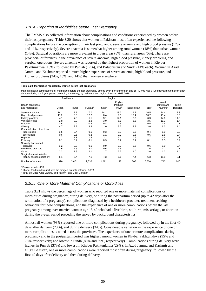#### *3.10.4 Reporting of Morbidities before Last Pregnancy*

The PMMS also collected information about complications and conditions experienced by women before their last pregnancy. Table 3.20 shows that women in Pakistan most often experienced the following complications before the conception of their last pregnancy: severe anaemia and high blood pressure (17% and 11%, respectively). Severe anaemia is somewhat higher among rural women (18%) than urban women  $(14%)$ . Surgical operations are more prevalent in urban areas  $(8%)$  than rural areas  $(5%)$ . There are provincial differences in the prevalence of severe anaemia, high blood pressure, kidney problems, and surgical operations. Severe anaemia was reported by the highest proportion of women in Khyber Pakhtunkhwa (18%), followed by Punjab (17%), and Baluchistan and Sindh (14% each). Women in Azad Jammu and Kashmir reported a much higher experience of severe anaemia, high blood pressure, and kidney problems (24%, 15%, and 14%) than women elsewhere.

#### **Table 3.20 Morbidities reported by women before last pregnancy**

Maternal health complications or morbidities before the last pregnancy among ever-married women age 15-49 who had a live birth/stillbirth/miscarriage/ abortion during the 3 year period preceding the survey, by residence and region, Pakistan MMS 2019

|                                             |       | Residence |                     |       | Region                                  |                    |                    |                              |                            |
|---------------------------------------------|-------|-----------|---------------------|-------|-----------------------------------------|--------------------|--------------------|------------------------------|----------------------------|
| <b>Health conditions</b><br>and morbidities | Urban | Rural     | Punjab <sup>1</sup> | Sindh | Khyber<br>Pakhtun-<br>khwa <sup>2</sup> | <b>Balochistan</b> | Total <sup>3</sup> | Azad<br>Jammu and<br>Kashmir | Gilgit<br><b>Baltistan</b> |
| Severe anaemia                              | 14.1  | 17.7      | 17.0                | 14.1  | 18.2                                    | 14.2               | 16.5               | 24.4                         | 17.3                       |
| High blood pressure                         | 11.2  | 10.5      | 12.2                | 8.4   | 9.6                                     | 10.4               | 10.7               | 15.4                         | 5.5                        |
| Kidney problem                              | 4.1   | 7.3       | 5.1                 | 3.1   | 12.1                                    | 7.3                | 6.3                | 14.0                         | 11.3                       |
| Varicose veins                              | 2.8   | 3.9       | 2.8                 | 3.0   | 5.1                                     | 6.5                | 3.5                | 11.3                         | 1.4                        |
| <b>Diabetes</b>                             | 0.6   | 0.4       | 0.3                 | 0.8   | 0.5                                     | 0.0                | 0.5                | 1.4                          | 0.7                        |
| Obesity                                     | 4.7   | 2.2       | 3.8                 | 1.0   | 3.2                                     | 2.9                | 3.0                | 6.3                          | 1.4                        |
| Chest infection other than                  |       |           |                     |       |                                         |                    |                    |                              |                            |
| tuberculosis                                | 0.5   | 0.4       | 0.6                 | 0.3   | 0.3                                     | 0.3                | 0.4                | 1.0                          | 0.3                        |
| <b>Tuberculosis</b>                         | 0.6   | 0.6       | 0.3                 | 1.1   | 0.9                                     | 0.5                | 0.6                | 1.8                          | 2.4                        |
| Hepatitis                                   | 1.7   | 1.8       | 1.6                 | 3.1   | 1.0                                     | 0.9                | 1.7                | 1.4                          | 0.3                        |
| Epilepsy                                    | 0.1   | 0.2       | 0.1                 | 0.3   | 0.2                                     | 0.1                | 0.1                | 0.5                          | 0.2                        |
| Sexually transmitted                        |       |           |                     |       |                                         |                    |                    |                              |                            |
| diseases                                    | 0.2   | 0.8       | 0.1                 | 0.9   | 0.9                                     | 2.8                | 0.6                | 0.0                          | 0.4                        |
| Low blood pressure                          | 1.6   | 1.5       | 2.1                 | 0.6   | 1.6                                     | 0.0                | 1.6                | 1.2                          | 0.7                        |
| Other                                       | 2.2   | 1.9       | 2.1                 | 1.7   | 2.2                                     | 1.0                | 2.0                | 1.2                          | 1.4                        |
| Surgical operation (other                   |       |           |                     |       |                                         |                    |                    |                              |                            |
| than C-section operation)                   | 8.1   | 5.4       | 7.1                 | 4.3   | 6.1                                     | 7.4                | 6.3                | 11.8                         | 8.1                        |
| Number of women                             | 1,826 | 3,674     | 2,836               | 1,212 | 1,147                                   | 305                | 5,500              | 743                          | 640                        |

1 Punjab includes ICT

<sup>2</sup> Khyber Pakhtunkhwa includes the merged districts of former FATA

Total excludes Azad Jammu and Kashmir and Gilgit Baltistan

#### *3.10.5 One or More Maternal Complications or Morbidities*

Table 3.21 shows the percentage of women who reported one or more maternal complications or morbidities during pregnancy, during delivery, or during the postpartum period (up to 42 days after the termination of a pregnancy), complications diagnosed by a healthcare provider, treatment seeking behaviour for these complications, and the experience of one or more complications before the last pregnancy among ever-married women age 15-49 who had a live birth, stillbirth, miscarriage, or abortion during the 3-year period preceding the survey by background characteristics.

Almost all women (93%) reported one or more complications during pregnancy, followed by in the first 40 days after delivery (73%), and during delivery (34%). Considerable variation in the experience of one or more complications is noted across the provinces. The experience of one or more complications during pregnancy and in the postpartum period was highest among women in Khyber Pakhtunkhwa (95% and 76%, respectively) and lowest in Sindh (88% and 69%, respectively). Complications during delivery were highest in Punjab (37%) and lowest in Khyber Pakhtunkhwa (29%). In Azad Jammu and Kashmir and Gilgit Baltistan, one or more complications were reported most often during pregnancy, followed by the first 40 days after delivery and then during delivery.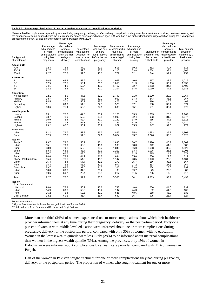#### **Table 3.21 Percentage distribution of one or more than one maternal complication or morbidity**

Maternal health complications reported by women during pregnancy, delivery, or after delivery, complications diagnosed by a healthcare provider, treatment seeking and the experience of complications before the last pregnancy among ever-married women age 15-49 who had a live birth/stillbirth/miscarriage/abortion during the 3 year period preceding the survey, by background characteristics, Pakistan MMS 2019

| 515<br>4,164<br>753<br>1,016<br>1,830<br>1,403<br>1,185 |
|---------------------------------------------------------|
|                                                         |
|                                                         |
|                                                         |
|                                                         |
|                                                         |
|                                                         |
|                                                         |
|                                                         |
|                                                         |
|                                                         |
| 2,764                                                   |
| 957<br>463                                              |
| 571                                                     |
| 678                                                     |
|                                                         |
| 1,162                                                   |
| 1,077                                                   |
| 1,113                                                   |
| 1,110                                                   |
| 972                                                     |
|                                                         |
| 1,807                                                   |
| 3,626                                                   |
|                                                         |
| 2,802                                                   |
| 982                                                     |
| 1,820                                                   |
| 1,201                                                   |
| 571                                                     |
| 629<br>1,131                                            |
| 167                                                     |
| 964                                                     |
| 299                                                     |
| 87                                                      |
| 212                                                     |
| 5,433                                                   |
|                                                         |
| 739                                                     |
| 106                                                     |
| 633                                                     |
| 624                                                     |
|                                                         |

<sup>1</sup> Punjab includes ICT

2 Khyber Pakhtunkhwa includes the merged districts of former FATA

<sup>3</sup> Total excludes Azad Jammu and Kashmir and Gilgit Baltistan

More than one-third (34%) of women experienced one or more complications about which their healthcare provider informed them at any time during their pregnancy, delivery, or the postpartum period. Forty-one percent of women with middle level education were informed about one or more complications during pregnancy, delivery, or the postpartum period, compared with only 30% of women with no education. Women in the lowest wealth quintile were less likely (28%) to be informed about maternal complications than women in the highest wealth quintile (39%). Among the provinces, only 19% of women in Balochistan were informed about complications by a healthcare provider, compared with 41% of women in Punjab.

Half of the women in Pakistan sought treatment for one or more complications they had during pregnancy, delivery, or the postpartum period. The proportion of women who sought treatment for one or more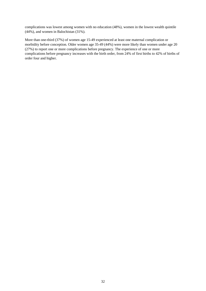complications was lowest among women with no education (48%), women in the lowest wealth quintile (44%), and women in Balochistan (31%).

More than one-third (37%) of women age 15-49 experienced at least one maternal complication or morbidity before conception. Older women age 35-49 (44%) were more likely than women under age 20 (27%) to report one or more complications before pregnancy. The experience of one or more complications before pregnancy increases with the birth order, from 24% of first births to 42% of births of order four and higher.